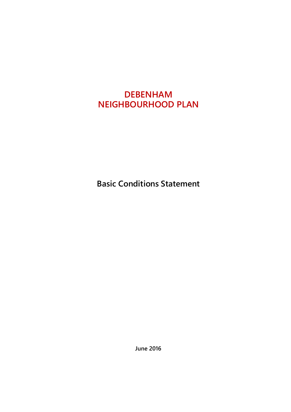# **DEBENHAM NEIGHBOURHOOD PLAN**

**Basic Conditions Statement**

**June 2016**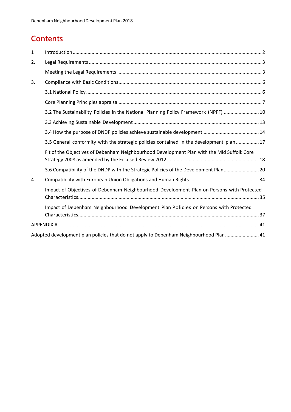## **Contents**

| $\mathbf{1}$ |                                                                                            |  |
|--------------|--------------------------------------------------------------------------------------------|--|
| 2.           |                                                                                            |  |
|              |                                                                                            |  |
| 3.           |                                                                                            |  |
|              |                                                                                            |  |
|              |                                                                                            |  |
|              | 3.2 The Sustainability Policies in the National Planning Policy Framework (NPPF)  10       |  |
|              |                                                                                            |  |
|              |                                                                                            |  |
|              | 3.5 General conformity with the strategic policies contained in the development plan 17    |  |
|              | Fit of the Objectives of Debenham Neighbourhood Development Plan with the Mid Suffolk Core |  |
|              | 3.6 Compatibility of the DNDP with the Strategic Policies of the Development Plan 20       |  |
| 4.           |                                                                                            |  |
|              | Impact of Objectives of Debenham Neighbourhood Development Plan on Persons with Protected  |  |
|              | Impact of Debenham Neighbourhood Development Plan Policies on Persons with Protected       |  |
|              |                                                                                            |  |
|              | Adopted development plan policies that do not apply to Debenham Neighbourhood Plan 41      |  |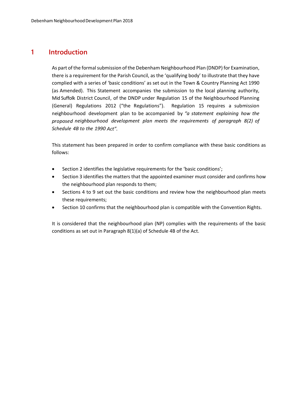## **1 Introduction**

As part of the formal submission of the Debenham Neighbourhood Plan (DNDP) for Examination, there is a requirement for the Parish Council, as the 'qualifying body' to illustrate that they have complied with a series of 'basic conditions' as set out in the Town & Country Planning Act 1990 (as Amended). This Statement accompanies the submission to the local planning authority, Mid Suffolk District Council, of the DNDP under Regulation 15 of the Neighbourhood Planning (General) Regulations 2012 ("the Regulations"). Regulation 15 requires a submission neighbourhood development plan to be accompanied by *"a statement explaining how the proposed neighbourhood development plan meets the requirements of paragraph 8(2) of Schedule 4B to the 1990 Act".*

This statement has been prepared in order to confirm compliance with these basic conditions as follows:

- Section 2 identifies the legislative requirements for the 'basic conditions';
- Section 3 identifies the matters that the appointed examiner must consider and confirms how the neighbourhood plan responds to them;
- Sections 4 to 9 set out the basic conditions and review how the neighbourhood plan meets these requirements;
- Section 10 confirms that the neighbourhood plan is compatible with the Convention Rights.

It is considered that the neighbourhood plan (NP) complies with the requirements of the basic conditions as set out in Paragraph 8(1)(a) of Schedule 4B of the Act.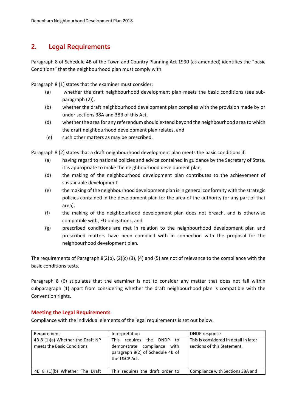## **2. Legal Requirements**

Paragraph 8 of Schedule 4B of the Town and Country Planning Act 1990 (as amended) identifies the "basic Conditions" that the neighbourhood plan must comply with.

Paragraph 8 (1) states that the examiner must consider:

- (a) whether the draft neighbourhood development plan meets the basic conditions (see subparagraph (2)),
- (b) whether the draft neighbourhood development plan complies with the provision made by or under sections 38A and 38B of this Act,
- (d) whether the area for any referendum should extend beyond the neighbourhood area to which the draft neighbourhood development plan relates, and
- (e) such other matters as may be prescribed.

Paragraph 8 (2) states that a draft neighbourhood development plan meets the basic conditions if:

- (a) having regard to national policies and advice contained in guidance by the Secretary of State, it is appropriate to make the neighbourhood development plan,
- (d) the making of the neighbourhood development plan contributes to the achievement of sustainable development,
- (e) the making of the neighbourhood development plan is in general conformity with the strategic policies contained in the development plan for the area of the authority (or any part of that area),
- (f) the making of the neighbourhood development plan does not breach, and is otherwise compatible with, EU obligations, and
- (g) prescribed conditions are met in relation to the neighbourhood development plan and prescribed matters have been complied with in connection with the proposal for the neighbourhood development plan.

The requirements of Paragraph 8(2(b), (2)(c) (3), (4) and (5) are not of relevance to the compliance with the basic conditions tests.

Paragraph 8 (6) stipulates that the examiner is not to consider any matter that does not fall within subparagraph (1) apart from considering whether the draft neighbourhood plan is compatible with the Convention rights.

#### **Meeting the Legal Requirements**

Compliance with the individual elements of the legal requirements is set out below.

| Requirement                                                    | Interpretation                                                                                                                   | DNDP response                                                        |
|----------------------------------------------------------------|----------------------------------------------------------------------------------------------------------------------------------|----------------------------------------------------------------------|
| 4B 8 (1)(a) Whether the Draft NP<br>meets the Basic Conditions | the DNDP<br>reguires<br><b>This</b><br>to<br>demonstrate compliance<br>with<br>paragraph 8(2) of Schedule 4B of<br>the T&CP Act. | This is considered in detail in later<br>sections of this Statement. |
| 4B 8 (1)(b) Whether The Draft                                  | This requires the draft order to                                                                                                 | Compliance with Sections 38A and                                     |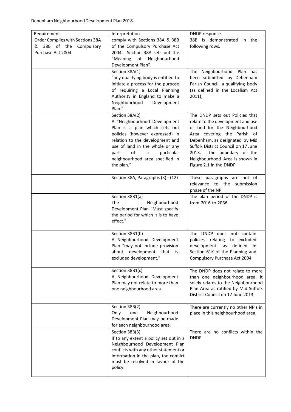| Requirement<br>Order Complies with Sections 38A | Interpretation<br>comply with Sections 38A & 38B                                                                                                                                                                                                                    | DNDP response<br>38B is demonstrated in the                                                                                                                                                                                                                            |
|-------------------------------------------------|---------------------------------------------------------------------------------------------------------------------------------------------------------------------------------------------------------------------------------------------------------------------|------------------------------------------------------------------------------------------------------------------------------------------------------------------------------------------------------------------------------------------------------------------------|
| & 38B of the Compulsory<br>Purchase Act 2004    | of the Compulsory Purchase Act<br>2004. Section 38A sets out the<br>"Meaning of Neighbourhood<br>Development Plan".                                                                                                                                                 | following rows.                                                                                                                                                                                                                                                        |
|                                                 | Section 38A(1)                                                                                                                                                                                                                                                      | The Neighbourhood<br>Plan has                                                                                                                                                                                                                                          |
|                                                 | "any qualifying body is entitled to<br>initiate a process for the purpose<br>of requiring a Local Planning<br>Authority in England to make a<br>Neighbourhood<br>Development<br>Plan."                                                                              | been submitted by Debenham<br>Parish Council, a qualifying body<br>(as defined in the Localism Act<br>$2011$ ),                                                                                                                                                        |
|                                                 | Section 38A(2)                                                                                                                                                                                                                                                      | The DNDP sets out Policies that                                                                                                                                                                                                                                        |
|                                                 | A "Neighbourhood Development<br>Plan is a plan which sets out<br>policies (however expressed) in<br>relation to the development and<br>use of land in the whole or any<br>of<br>$\mathsf{a}$<br>particular<br>part<br>neighbourhood area specified in<br>the plan." | relate to the development and use<br>of land for the Neighbourhood<br>Area covering the Parish of<br>Debenham, as designated by Mid<br>Suffolk District Council on 17 June<br>2013.<br>The boundary of the<br>Neighbourhood Area is shown in<br>Figure 2.1 in the DNDP |
|                                                 | Section 38A, Paragraphs (3) - (12)                                                                                                                                                                                                                                  | These paragraphs are not of<br>relevance to the submission<br>phase of the NP                                                                                                                                                                                          |
|                                                 | Section 38B1(a)<br><b>The</b><br>Neighbourhood<br>Development Plan "Must specify<br>the period for which it is to have<br>effect."                                                                                                                                  | The plan period of the DNDP is<br>from 2016 to 2036                                                                                                                                                                                                                    |
|                                                 | Section 38B1(b)<br>A Neighbourhood Development<br>Plan "may not include provision<br>development that is<br>about<br>excluded development."                                                                                                                         | The DNDP does not contain<br>policies relating<br>to excluded<br>development as defined<br>in in<br>Section 61K of the Planning and<br>Compulsory Purchase Act 2004                                                                                                    |
|                                                 | Section 38B1(c)<br>A Neighbourhood Development<br>Plan may not relate to more than<br>one neighbourhood area                                                                                                                                                        | The DNDP does not relate to more<br>than one neighbourhood area. It<br>solely relates to the Neighbourhood<br>Plan Area as ratified by Mid Suffolk<br>District Council on 17 June 2013.                                                                                |
|                                                 | Section 38B(2)<br>Only<br>one<br>Neighbourhood<br>Development Plan may be made<br>for each neighbourhood area.                                                                                                                                                      | There are currently no other NP's in<br>place in this neighbourhood area.                                                                                                                                                                                              |
|                                                 | Section 38B(3)<br>If to any extent a policy set out in a<br>Neighbourhood Development Plan<br>conflicts with any other statement or<br>information in the plan, the conflict<br>must be resolved in favour of the<br>policy.                                        | There are no conflicts within the<br><b>DNDP</b>                                                                                                                                                                                                                       |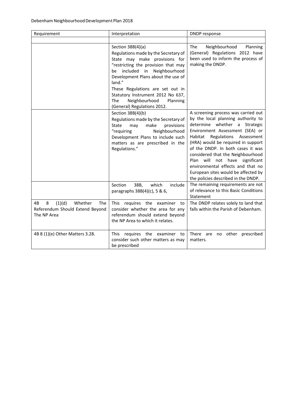| Requirement                                                                           | Interpretation                                                                                                                                                                                                                                                                                                                                                             | DNDP response                                                                                                                                                                                                                                                                                                                                                                                                                                                       |
|---------------------------------------------------------------------------------------|----------------------------------------------------------------------------------------------------------------------------------------------------------------------------------------------------------------------------------------------------------------------------------------------------------------------------------------------------------------------------|---------------------------------------------------------------------------------------------------------------------------------------------------------------------------------------------------------------------------------------------------------------------------------------------------------------------------------------------------------------------------------------------------------------------------------------------------------------------|
|                                                                                       |                                                                                                                                                                                                                                                                                                                                                                            |                                                                                                                                                                                                                                                                                                                                                                                                                                                                     |
|                                                                                       | Section 38B(4)(a)<br>Regulations made by the Secretary of<br>State may make provisions for<br>"restricting the provision that may<br>included in<br>Neighbourhood<br>be<br>Development Plans about the use of<br>land."<br>These Regulations are set out in<br>Statutory Instrument 2012 No 637,<br>Neighbourhood<br><b>The</b><br>Planning<br>(General) Regulations 2012. | <b>The</b><br>Neighbourhood<br>Planning<br>(General) Regulations 2012 have<br>been used to inform the process of<br>making the DNDP.                                                                                                                                                                                                                                                                                                                                |
|                                                                                       | Section 38B(4)(b)<br>Regulations made by the Secretary of<br>make<br>provisions<br>State<br>may<br>"requiring<br>Neighbourhood<br>Development Plans to include such<br>matters as are prescribed in the<br>Regulations."                                                                                                                                                   | A screening process was carried out<br>by the local planning authority to<br>determine whether a Strategic<br>Environment Assessment (SEA) or<br>Regulations<br>Habitat<br>Assessment<br>(HRA) would be required in support<br>of the DNDP. In both cases it was<br>considered that the Neighbourhood<br>will<br>Plan<br>not<br>have significant<br>environmental effects and that no<br>European sites would be affected by<br>the policies described in the DNDP. |
|                                                                                       | Section<br>38B,<br>which<br>include<br>paragraphs 38B(4)(c), 5 & 6,                                                                                                                                                                                                                                                                                                        | The remaining requirements are not<br>of relevance to this Basic Conditions<br>Statement                                                                                                                                                                                                                                                                                                                                                                            |
| (1)(d)<br>4B<br>8<br>Whether<br>The<br>Referendum Should Extend Beyond<br>The NP Area | This requires the examiner to<br>consider whether the area for any<br>referendum should extend beyond<br>the NP Area to which it relates.                                                                                                                                                                                                                                  | The DNDP relates solely to land that<br>falls within the Parish of Debenham.                                                                                                                                                                                                                                                                                                                                                                                        |
| 4B 8 (1)(e) Other Matters 3.28.                                                       | This requires the examiner to<br>consider such other matters as may<br>be prescribed                                                                                                                                                                                                                                                                                       | There are no other prescribed<br>matters.                                                                                                                                                                                                                                                                                                                                                                                                                           |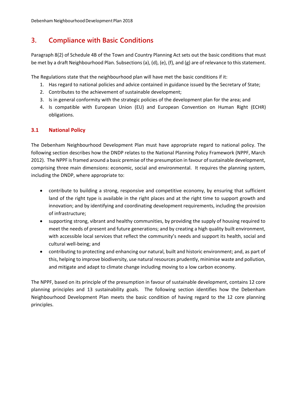## **3. Compliance with Basic Conditions**

Paragraph 8(2) of Schedule 4B of the Town and Country Planning Act sets out the basic conditions that must be met by a draft Neighbourhood Plan. Subsections (a), (d), (e), (f), and (g) are of relevance to this statement.

The Regulations state that the neighbourhood plan will have met the basic conditions if it:

- 1. Has regard to national policies and advice contained in guidance issued by the Secretary of State;
- 2. Contributes to the achievement of sustainable development;
- 3. Is in general conformity with the strategic policies of the development plan for the area; and
- 4. Is compatible with European Union (EU) and European Convention on Human Right (ECHR) obligations.

#### **3.1 National Policy**

The Debenham Neighbourhood Development Plan must have appropriate regard to national policy. The following section describes how the DNDP relates to the National Planning Policy Framework (NPPF, March 2012). The NPPF is framed around a basic premise of the presumption in favour of sustainable development, comprising three main dimensions: economic, social and environmental. It requires the planning system, including the DNDP, where appropriate to:

- contribute to building a strong, responsive and competitive economy, by ensuring that sufficient land of the right type is available in the right places and at the right time to support growth and innovation; and by identifying and coordinating development requirements, including the provision of infrastructure;
- supporting strong, vibrant and healthy communities, by providing the supply of housing required to meet the needs of present and future generations; and by creating a high quality built environment, with accessible local services that reflect the community's needs and support its health, social and cultural well‐being; and
- contributing to protecting and enhancing our natural, built and historic environment; and, as part of this, helping to improve biodiversity, use natural resources prudently, minimise waste and pollution, and mitigate and adapt to climate change including moving to a low carbon economy.

The NPPF, based on its principle of the presumption in favour of sustainable development, contains 12 core planning principles and 13 sustainability goals. The following section identifies how the Debenham Neighbourhood Development Plan meets the basic condition of having regard to the 12 core planning principles.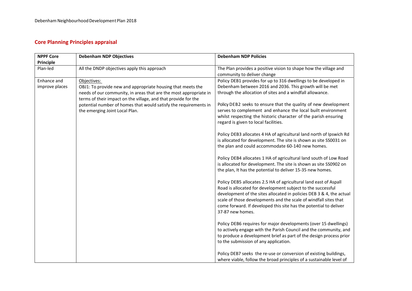## **Core Planning Principles appraisal**

| <b>NPPF Core</b> | <b>Debenham NDP Objectives</b>                                    | <b>Debenham NDP Policies</b>                                         |
|------------------|-------------------------------------------------------------------|----------------------------------------------------------------------|
| Principle        |                                                                   |                                                                      |
| Plan-led         | All the DNDP objectives apply this approach                       | The Plan provides a positive vision to shape how the village and     |
|                  |                                                                   | community to deliver change                                          |
| Enhance and      | Objectives:                                                       | Policy DEB1 provides for up to 316 dwellings to be developed in      |
| improve places   | OBJ1: To provide new and appropriate housing that meets the       | Debenham between 2016 and 2036. This growth will be met              |
|                  | needs of our community, in areas that are the most appropriate in | through the allocation of sites and a windfall allowance.            |
|                  | terms of their impact on the village, and that provide for the    |                                                                      |
|                  | potential number of homes that would satisfy the requirements in  | Policy DEB2 seeks to ensure that the quality of new development      |
|                  | the emerging Joint Local Plan.                                    | serves to complement and enhance the local built environment         |
|                  |                                                                   | whilst respecting the historic character of the parish ensuring      |
|                  |                                                                   | regard is given to local facilities.                                 |
|                  |                                                                   | Policy DEB3 allocates 4 HA of agricultural land north of Ipswich Rd  |
|                  |                                                                   | is allocated for development. The site is shown as site SS0031 on    |
|                  |                                                                   | the plan and could accommodate 60-140 new homes.                     |
|                  |                                                                   |                                                                      |
|                  |                                                                   | Policy DEB4 allocates 1 HA of agricultural land south of Low Road    |
|                  |                                                                   | is allocated for development. The site is shown as site SS0902 on    |
|                  |                                                                   | the plan, It has the potential to deliver 15-35 new homes.           |
|                  |                                                                   | Policy DEB5 allocates 2.5 HA of agricultural land east of Aspall     |
|                  |                                                                   | Road is allocated for development subject to the successful          |
|                  |                                                                   | development of the sites allocated in policies DEB 3 & 4, the actual |
|                  |                                                                   | scale of those developments and the scale of windfall sites that     |
|                  |                                                                   | come forward. If developed this site has the potential to deliver    |
|                  |                                                                   | 37-87 new homes.                                                     |
|                  |                                                                   | Policy DEB6 requires for major developments (over 15 dwellings)      |
|                  |                                                                   | to actively engage with the Parish Council and the community, and    |
|                  |                                                                   | to produce a development brief as part of the design process prior   |
|                  |                                                                   | to the submission of any application.                                |
|                  |                                                                   |                                                                      |
|                  |                                                                   | Policy DEB7 seeks the re-use or conversion of existing buildings,    |
|                  |                                                                   | where viable, follow the broad principles of a sustainable level of  |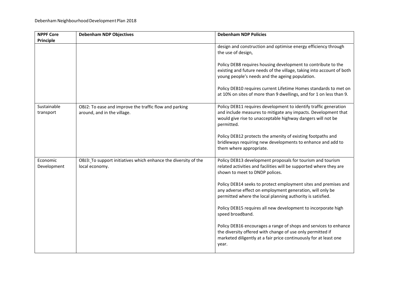| <b>NPPF Core</b>         | <b>Debenham NDP Objectives</b>                                                        | <b>Debenham NDP Policies</b>                                                                                                                                                                                    |
|--------------------------|---------------------------------------------------------------------------------------|-----------------------------------------------------------------------------------------------------------------------------------------------------------------------------------------------------------------|
| <b>Principle</b>         |                                                                                       |                                                                                                                                                                                                                 |
|                          |                                                                                       | design and construction and optimise energy efficiency through<br>the use of design,                                                                                                                            |
|                          |                                                                                       | Policy DEB8 requires housing development to contribute to the<br>existing and future needs of the village, taking into account of both<br>young people's needs and the ageing population.                       |
|                          |                                                                                       | Policy DEB10 requires current Lifetime Homes standards to met on<br>at 10% on sites of more than 9 dwellings, and for 1 on less than 9.                                                                         |
| Sustainable<br>transport | OBJ2: To ease and improve the traffic flow and parking<br>around, and in the village. | Policy DEB11 requires development to identify traffic generation<br>and include measures to mitigate any impacts. Development that<br>would give rise to unacceptable highway dangers will not be<br>permitted. |
|                          |                                                                                       | Policy DEB12 protects the amenity of existing footpaths and<br>bridleways requiring new developments to enhance and add to<br>them where appropriate.                                                           |
| Economic<br>Development  | OBJ3: To support initiatives which enhance the diversity of the<br>local economy.     | Policy DEB13 development proposals for tourism and tourism<br>related activities and facilities will be supported where they are<br>shown to meet to DNDP polices.                                              |
|                          |                                                                                       | Policy DEB14 seeks to protect employment sites and premises and<br>any adverse effect on employment generation, will only be<br>permitted where the local planning authority is satisfied.                      |
|                          |                                                                                       | Policy DEB15 requires all new development to incorporate high<br>speed broadband.                                                                                                                               |
|                          |                                                                                       | Policy DEB16 encourages a range of shops and services to enhance<br>the diversity offered with change of use only permitted if<br>marketed diligently at a fair price continuously for at least one<br>year.    |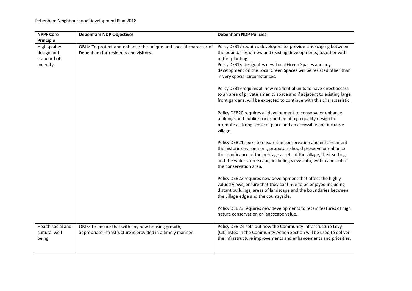| <b>NPPF Core</b>                                     | <b>Debenham NDP Objectives</b>                                                                                  | <b>Debenham NDP Policies</b>                                                                                                                                                                                                                                                                                           |
|------------------------------------------------------|-----------------------------------------------------------------------------------------------------------------|------------------------------------------------------------------------------------------------------------------------------------------------------------------------------------------------------------------------------------------------------------------------------------------------------------------------|
| Principle                                            |                                                                                                                 |                                                                                                                                                                                                                                                                                                                        |
| High quality<br>design and<br>standard of<br>amenity | OBJ4: To protect and enhance the unique and special character of<br>Debenham for residents and visitors.        | Policy DEB17 requires developers to provide landscaping between<br>the boundaries of new and existing developments, together with<br>buffer planting.<br>Policy DEB18 designates new Local Green Spaces and any<br>development on the Local Green Spaces will be resisted other than<br>in very special circumstances. |
|                                                      |                                                                                                                 | Policy DEB19 requires all new residential units to have direct access<br>to an area of private amenity space and if adjacent to existing large<br>front gardens, will be expected to continue with this characteristic.                                                                                                |
|                                                      |                                                                                                                 | Policy DEB20 requires all development to conserve or enhance<br>buildings and public spaces and be of high quality design to<br>promote a strong sense of place and an accessible and inclusive<br>village.                                                                                                            |
|                                                      |                                                                                                                 | Policy DEB21 seeks to ensure the conservation and enhancement<br>the historic environment, proposals should preserve or enhance<br>the significance of the heritage assets of the village, their setting<br>and the wider streetscape, including views into, within and out of<br>the conservation area.               |
|                                                      |                                                                                                                 | Policy DEB22 requires new development that affect the highly<br>valued views, ensure that they continue to be enjoyed including<br>distant buildings, areas of landscape and the boundaries between<br>the village edge and the countryside.                                                                           |
|                                                      |                                                                                                                 | Policy DEB23 requires new developments to retain features of high<br>nature conservation or landscape value.                                                                                                                                                                                                           |
| Health social and<br>cultural well<br>being          | OBJ5: To ensure that with any new housing growth,<br>appropriate infrastructure is provided in a timely manner. | Policy DEB 24 sets out how the Community Infrastructure Levy<br>(CIL) listed in the Community Action Section will be used to deliver<br>the infrastructure improvements and enhancements and priorities.                                                                                                               |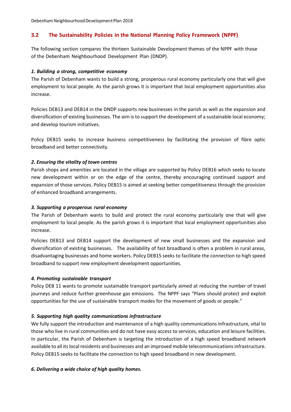Debenham Neighbourhood Development Plan 2018

#### **3.2 The Sustainability Policies in the National Planning Policy Framework (NPPF)**

The following section compares the thirteen Sustainable Development themes of the NPPF with those of the Debenham Neighbourhood Development Plan (DNDP).

#### *1. Building a strong, competitive economy*

The Parish of Debenham wants to build a strong, prosperous rural economy particularly one that will give employment to local people. As the parish grows it is important that local employment opportunities also increase.

Policies DEB13 and DEB14 in the DNDP supports new businesses in the parish as well as the expansion and diversification of existing businesses. The aim is to support the development of a sustainable local economy; and develop tourism initiatives.

Policy DEB15 seeks to increase business competitiveness by facilitating the provision of fibre optic broadband and better connectivity.

#### *2. Ensuring the vitality of town centres*

Parish shops and amenities are located in the village are supported by Policy DEB16 which seeks to locate new development within or on the edge of the centre, thereby encouraging continued support and expansion of those services. Policy DEB15 is aimed at seeking better competitiveness through the provision of enhanced broadband arrangements.

#### *3. Supporting a prosperous rural economy*

The Parish of Debenham wants to build and protect the rural economy particularly one that will give employment to local people. As the parish grows it is important that local employment opportunities also increase.

Policies DEB13 and DEB14 support the development of new small businesses and the expansion and diversification of existing businesses. The availability of fast broadband is often a problem in rural areas, disadvantaging businesses and home workers. Policy DEB15 seeks to facilitate the connection to high speed broadband to support new employment development opportunities.

#### *4. Promoting sustainable transport*

Policy DEB 11 wants to promote sustainable transport particularly aimed at reducing the number of travel journeys and reduce further greenhouse gas emissions. The NPPF says "Plans should protect and exploit opportunities for the use of sustainable transport modes for the movement of goods or people."

#### *5. Supporting high quality communications infrastructure*

We fully support the introduction and maintenance of a high quality communications infrastructure, vital to those who live in rural communities and do not have easy access to services, education and leisure facilities. In particular, the Parish of Debenham is targeting the introduction of a high speed broadband network available to all its local residents and businesses and an improved mobile telecommunications infrastructure. Policy DEB15 seeks to facilitate the connection to high speed broadband in new development.

#### *6. Delivering a wide choice of high quality homes.*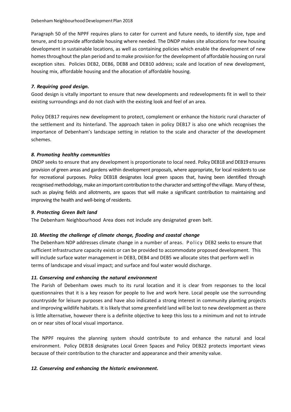Paragraph 50 of the NPPF requires plans to cater for current and future needs, to identify size, type and tenure, and to provide affordable housing where needed. The DNDP makes site allocations for new housing development in sustainable locations, as well as containing policies which enable the development of new homes throughout the plan period and to make provision for the development of affordable housing on rural exception sites. Policies DEB2, DEB6, DEB8 and DEB10 address; scale and location of new development, housing mix, affordable housing and the allocation of affordable housing.

#### *7. Requiring good design.*

Good design is vitally important to ensure that new developments and redevelopments fit in well to their existing surroundings and do not clash with the existing look and feel of an area.

Policy DEB17 requires new development to protect, complement or enhance the historic rural character of the settlement and its hinterland. The approach taken in policy DEB17 is also one which recognises the importance of Debenham's landscape setting in relation to the scale and character of the development schemes.

#### *8. Promoting healthy communities*

DNDP seeks to ensure that any development is proportionate to local need. Policy DEB18 and DEB19 ensures provision of green areas and gardens within development proposals, where appropriate, for local residents to use for recreational purposes. Policy DEB18 designates local green spaces that, having been identified through recognised methodology, make an important contribution to the character and setting of the village. Many of these, such as playing fields and allotments, are spaces that will make a significant contribution to maintaining and improving the health and well‐being of residents.

#### *9. Protecting Green Belt land*

The Debenham Neighbourhood Area does not include any designated green belt.

#### 10. Meeting the challenge of climate change, flooding and coastal change

The Debenham NDP addresses climate change in a number of areas. Policy DEB2 seeks to ensure that sufficient infrastructure capacity exists or can be provided to accommodate proposed development. This will include surface water management in DEB3, DEB4 and DEB5 we allocate sites that perform well in terms of landscape and visual impact; and surface and foul water would discharge.

#### *11. Conserving and enhancing the natural environment*

The Parish of Debenham owes much to its rural location and it is clear from responses to the local questionnaires that it is a key reason for people to live and work here. Local people use the surrounding countryside for leisure purposes and have also indicated a strong interest in community planting projects and improving wildlife habitats. It is likely that some greenfield land will be lost to new development as there is little alternative, however there is a definite objective to keep this loss to a minimum and not to intrude on or near sites of local visual importance.

The NPPF requires the planning system should contribute to and enhance the natural and local environment. Policy DEB18 designates Local Green Spaces and Policy DEB22 protects important views because of their contribution to the character and appearance and their amenity value.

#### *12. Conserving and enhancing the historic environment.*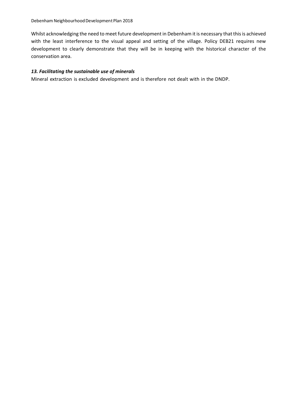Whilst acknowledging the need to meet future development in Debenham it is necessary that this is achieved with the least interference to the visual appeal and setting of the village. Policy DEB21 requires new development to clearly demonstrate that they will be in keeping with the historical character of the conservation area.

#### *13. Facilitating the sustainable use of minerals*

Mineral extraction is excluded development and is therefore not dealt with in the DNDP.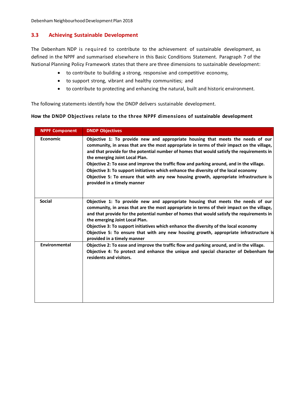Debenham Neighbourhood Development Plan 2018

#### **3.3 Achieving Sustainable Development**

The Debenham NDP is required to contribute to the achievement of sustainable development, as defined in the NPPF and summarised elsewhere in this Basic Conditions Statement. Paragraph 7 of the National Planning Policy Framework states that there are three dimensions to sustainable development:

- to contribute to building a strong, responsive and competitive economy,
- to support strong, vibrant and healthy communities; and
- to contribute to protecting and enhancing the natural, built and historic environment.

The following statements identify how the DNDP delivers sustainable development.

#### **How the DNDP Objectives relate to the three NPPF dimensions of sustainable development**

| <b>NPPF Component</b> | <b>DNDP Objectives</b>                                                                                                                                                                                                                                                                                                                                                                                                                                                                                                                                                                                                     |
|-----------------------|----------------------------------------------------------------------------------------------------------------------------------------------------------------------------------------------------------------------------------------------------------------------------------------------------------------------------------------------------------------------------------------------------------------------------------------------------------------------------------------------------------------------------------------------------------------------------------------------------------------------------|
| <b>Economic</b>       | Objective 1: To provide new and appropriate housing that meets the needs of our<br>community, in areas that are the most appropriate in terms of their impact on the village,<br>and that provide for the potential number of homes that would satisfy the requirements in<br>the emerging Joint Local Plan.<br>Objective 2: To ease and improve the traffic flow and parking around, and in the village.<br>Objective 3: To support initiatives which enhance the diversity of the local economy<br>Objective 5: To ensure that with any new housing growth, appropriate infrastructure is<br>provided in a timely manner |
| <b>Social</b>         | Objective 1: To provide new and appropriate housing that meets the needs of our<br>community, in areas that are the most appropriate in terms of their impact on the village,<br>and that provide for the potential number of homes that would satisfy the requirements in<br>the emerging Joint Local Plan.<br>Objective 3: To support initiatives which enhance the diversity of the local economy<br>Objective 5: To ensure that with any new housing growth, appropriate infrastructure is<br>provided in a timely manner                                                                                              |
| Environmental         | Objective 2: To ease and improve the traffic flow and parking around, and in the village.<br>Objective 4: To protect and enhance the unique and special character of Debenham for<br>residents and visitors.                                                                                                                                                                                                                                                                                                                                                                                                               |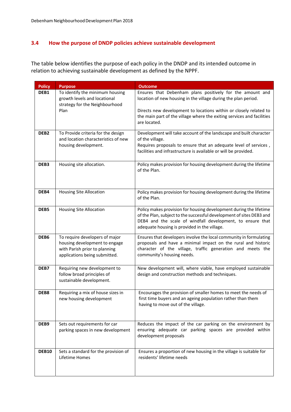#### **3.4 How the purpose of DNDP policies achieve sustainable development**

The table below identifies the purpose of each policy in the DNDP and its intended outcome in relation to achieving sustainable development as defined by the NPPF.

| <b>Policy</b>    | <b>Purpose</b>                                                                                                                    | <b>Outcome</b>                                                                                                                                                                                                                                                             |
|------------------|-----------------------------------------------------------------------------------------------------------------------------------|----------------------------------------------------------------------------------------------------------------------------------------------------------------------------------------------------------------------------------------------------------------------------|
| DEB1             | To identify the minimum housing<br>growth levels and locational<br>strategy for the Neighbourhood<br>Plan                         | Ensures that Debenham plans positively for the amount and<br>location of new housing in the village during the plan period.<br>Directs new development to locations within or closely related to<br>the main part of the village where the exiting services and facilities |
|                  |                                                                                                                                   | are located.                                                                                                                                                                                                                                                               |
| DEB <sub>2</sub> | To Provide criteria for the design<br>and location characteristics of new<br>housing development.                                 | Development will take account of the landscape and built character<br>of the village.<br>Requires proposals to ensure that an adequate level of services,<br>facilities and infrastructure is available or will be provided.                                               |
| DEB3             | Housing site allocation.                                                                                                          | Policy makes provision for housing development during the lifetime<br>of the Plan.                                                                                                                                                                                         |
| DEB4             | <b>Housing Site Allocation</b>                                                                                                    | Policy makes provision for housing development during the lifetime<br>of the Plan.                                                                                                                                                                                         |
| DEB5             | <b>Housing Site Allocation</b>                                                                                                    | Policy makes provision for housing development during the lifetime<br>of the Plan, subject to the successful development of sites DEB3 and<br>DEB4 and the scale of windfall development, to ensure that<br>adequate housing is provided in the village.                   |
| DEB6             | To require developers of major<br>housing development to engage<br>with Parish prior to planning<br>applications being submitted. | Ensures that developers involve the local community in formulating<br>proposals and have a minimal impact on the rural and historic<br>character of the village, traffic generation and meets the<br>community's housing needs.                                            |
| DEB7             | Requiring new development to<br>follow broad principles of<br>sustainable development.                                            | New development will, where viable, have employed sustainable<br>design and construction methods and techniques.                                                                                                                                                           |
| DEB8             | Requiring a mix of house sizes in<br>new housing development                                                                      | Encourages the provision of smaller homes to meet the needs of<br>first time buyers and an ageing population rather than them<br>having to move out of the village.                                                                                                        |
| DEB9             | Sets out requirements for car<br>parking spaces in new development                                                                | Reduces the impact of the car parking on the environment by<br>ensuring adequate car parking spaces are provided within<br>development proposals                                                                                                                           |
| <b>DEB10</b>     | Sets a standard for the provision of<br>Lifetime Homes                                                                            | Ensures a proportion of new housing in the village is suitable for<br>residents' lifetime needs                                                                                                                                                                            |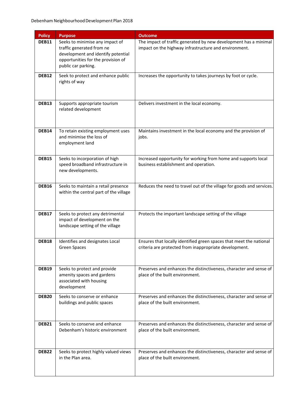| <b>Policy</b>     | <b>Purpose</b>                                                                                                                                                  | <b>Outcome</b>                                                                                                                |
|-------------------|-----------------------------------------------------------------------------------------------------------------------------------------------------------------|-------------------------------------------------------------------------------------------------------------------------------|
| DEB11             | Seeks to minimise any impact of<br>traffic generated from ne<br>development and identify potential<br>opportunities for the provision of<br>public car parking. | The impact of traffic generated by new development has a minimal<br>impact on the highway infrastructure and environment.     |
| <b>DEB12</b>      | Seek to protect and enhance public<br>rights of way                                                                                                             | Increases the opportunity to takes journeys by foot or cycle.                                                                 |
| DEB13             | Supports appropriate tourism<br>related development                                                                                                             | Delivers investment in the local economy.                                                                                     |
| <b>DEB14</b>      | To retain existing employment uses<br>and minimise the loss of<br>employment land                                                                               | Maintains investment in the local economy and the provision of<br>jobs.                                                       |
| <b>DEB15</b>      | Seeks to incorporation of high<br>speed broadband infrastructure in<br>new developments.                                                                        | Increased opportunity for working from home and supports local<br>business establishment and operation.                       |
| <b>DEB16</b>      | Seeks to maintain a retail presence<br>within the central part of the village                                                                                   | Reduces the need to travel out of the village for goods and services.                                                         |
| DEB17             | Seeks to protect any detrimental<br>impact of development on the<br>landscape setting of the village                                                            | Protects the important landscape setting of the village                                                                       |
| DEB18             | Identifies and designates Local<br>Green Spaces                                                                                                                 | Ensures that locally identified green spaces that meet the national<br>criteria are protected from inappropriate development. |
| <b>DEB19</b>      | Seeks to protect and provide<br>amenity spaces and gardens<br>associated with housing<br>development                                                            | Preserves and enhances the distinctiveness, character and sense of<br>place of the built environment.                         |
| DEB <sub>20</sub> | Seeks to conserve or enhance<br>buildings and public spaces                                                                                                     | Preserves and enhances the distinctiveness, character and sense of<br>place of the built environment.                         |
| <b>DEB21</b>      | Seeks to conserve and enhance<br>Debenham's historic environment                                                                                                | Preserves and enhances the distinctiveness, character and sense of<br>place of the built environment.                         |
| DEB <sub>22</sub> | Seeks to protect highly valued views<br>in the Plan area.                                                                                                       | Preserves and enhances the distinctiveness, character and sense of<br>place of the built environment.                         |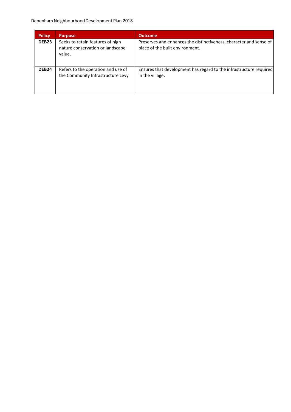#### Debenham Neighbourhood Development Plan 2018

| <b>Policy</b>     | <b>Purpose</b>                                                                 | <b>Outcome</b>                                                                                        |
|-------------------|--------------------------------------------------------------------------------|-------------------------------------------------------------------------------------------------------|
| DEB <sub>23</sub> | Seeks to retain features of high<br>nature conservation or landscape<br>value. | Preserves and enhances the distinctiveness, character and sense of<br>place of the built environment. |
| DEB <sub>24</sub> | Refers to the operation and use of<br>the Community Infrastructure Levy        | Ensures that development has regard to the infrastructure required<br>in the village.                 |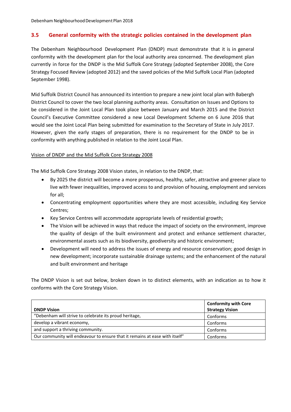#### **3.5 General conformity with the strategic policies contained in the development plan**

The Debenham Neighbourhood Development Plan (DNDP) must demonstrate that it is in general conformity with the development plan for the local authority area concerned. The development plan currently in force for the DNDP is the Mid Suffolk Core Strategy (adopted September 2008), the Core Strategy Focused Review (adopted 2012) and the saved policies of the Mid Suffolk Local Plan (adopted September 1998).

Mid Suffolk District Council has announced its intention to prepare a new joint local plan with Babergh District Council to cover the two local planning authority areas. Consultation on Issues and Options to be considered in the Joint Local Plan took place between January and March 2015 and the District Council's Executive Committee considered a new Local Development Scheme on 6 June 2016 that would see the Joint Local Plan being submitted for examination to the Secretary of State in July 2017. However, given the early stages of preparation, there is no requirement for the DNDP to be in conformity with anything published in relation to the Joint Local Plan.

#### Vision of DNDP and the Mid Suffolk Core Strategy 2008

The Mid Suffolk Core Strategy 2008 Vision states, in relation to the DNDP, that:

- By 2025 the district will become a more prosperous, healthy, safer, attractive and greener place to live with fewer inequalities, improved access to and provision of housing, employment and services for all;
- Concentrating employment opportunities where they are most accessible, including Key Service Centres;
- Key Service Centres will accommodate appropriate levels of residential growth;
- The Vision will be achieved in ways that reduce the impact of society on the environment, improve the quality of design of the built environment and protect and enhance settlement character, environmental assets such as its biodiversity, geodiversity and historic environment;
- Development will need to address the issues of energy and resource conservation; good design in new development; incorporate sustainable drainage systems; and the enhancement of the natural and built environment and heritage

The DNDP Vision is set out below, broken down in to distinct elements, with an indication as to how it conforms with the Core Strategy Vision.

|                                                                             | <b>Conformity with Core</b> |
|-----------------------------------------------------------------------------|-----------------------------|
| <b>DNDP Vision</b>                                                          | <b>Strategy Vision</b>      |
| "Debenham will strive to celebrate its proud heritage,                      | Conforms                    |
| develop a vibrant economy,                                                  | Conforms                    |
| and support a thriving community.                                           | Conforms                    |
| Our community will endeavour to ensure that it remains at ease with itself" | Conforms                    |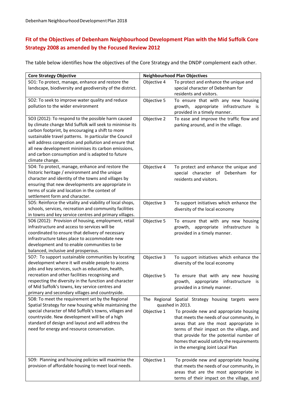## **Fit of the Objectives of Debenham Neighbourhood Development Plan with the Mid Suffolk Core Strategy 2008 as amended by the Focused Review 2012**

The table below identifies how the objectives of the Core Strategy and the DNDP complement each other.

| <b>Core Strategy Objective</b>                                                                        |             | <b>Neighbourhood Plan Objectives</b>                                  |
|-------------------------------------------------------------------------------------------------------|-------------|-----------------------------------------------------------------------|
| SO1: To protect, manage, enhance and restore the                                                      | Objective 4 | To protect and enhance the unique and                                 |
| landscape, biodiversity and geodiversity of the district.                                             |             | special character of Debenham for                                     |
|                                                                                                       |             | residents and visitors.                                               |
| SO2: To seek to improve water quality and reduce                                                      | Objective 5 | To ensure that with any new housing                                   |
| pollution to the wider environment                                                                    |             | infrastructure<br>growth, appropriate<br><b>is</b>                    |
|                                                                                                       |             | provided in a timely manner.                                          |
| SO3 (2012): To respond to the possible harm caused                                                    | Objective 2 | To ease and improve the traffic flow and                              |
| by climate change Mid Suffolk will seek to minimise its                                               |             | parking around, and in the village.                                   |
| carbon footprint, by encouraging a shift to more                                                      |             |                                                                       |
| sustainable travel patterns. In particular the Council                                                |             |                                                                       |
| will address congestion and pollution and ensure that                                                 |             |                                                                       |
| all new development minimises its carbon emissions,                                                   |             |                                                                       |
| and carbon consumption and is adapted to future                                                       |             |                                                                       |
| climate change.                                                                                       |             |                                                                       |
| SO4: To protect, manage, enhance and restore the                                                      | Objective 4 | To protect and enhance the unique and                                 |
| historic heritage / environment and the unique                                                        |             | special character of Debenham for                                     |
| character and identity of the towns and villages by                                                   |             | residents and visitors.                                               |
| ensuring that new developments are appropriate in                                                     |             |                                                                       |
| terms of scale and location in the context of                                                         |             |                                                                       |
| settlement form and character.                                                                        |             |                                                                       |
| SO5: Reinforce the vitality and viability of local shops,                                             | Objective 3 | To support initiatives which enhance the                              |
| schools, services, recreation and community facilities                                                |             | diversity of the local economy                                        |
| in towns and key service centres and primary villages.                                                |             |                                                                       |
| SO6 (2012): Provision of housing, employment, retail<br>infrastructure and access to services will be | Objective 5 | To ensure that with any new housing                                   |
| coordinated to ensure that delivery of necessary                                                      |             | growth, appropriate infrastructure is<br>provided in a timely manner. |
| infrastructure takes place to accommodate new                                                         |             |                                                                       |
| development and to enable communities to be                                                           |             |                                                                       |
| balanced, inclusive and prosperous.                                                                   |             |                                                                       |
| SO7: To support sustainable communities by locating                                                   | Objective 3 | To support initiatives which enhance the                              |
| development where it will enable people to access                                                     |             | diversity of the local economy                                        |
| jobs and key services, such as education, health,                                                     |             |                                                                       |
| recreation and other facilities recognising and                                                       | Objective 5 | To ensure that with any new housing                                   |
| respecting the diversity in the function and character                                                |             | appropriate infrastructure<br>growth,<br>is                           |
| of Mid Suffolk's towns, key service centres and                                                       |             | provided in a timely manner.                                          |
| primary and secondary villages and countryside.                                                       |             |                                                                       |
| SO8: To meet the requirement set by the Regional                                                      |             | The Regional Spatial Strategy housing targets were                    |
| Spatial Strategy for new housing while maintaining the                                                |             | quashed in 2013.                                                      |
| special character of Mid Suffolk's towns, villages and                                                | Objective 1 | To provide new and appropriate housing                                |
| countryside. New development will be of a high                                                        |             | that meets the needs of our community, in                             |
| standard of design and layout and will address the                                                    |             | areas that are the most appropriate in                                |
| need for energy and resource conservation.                                                            |             | terms of their impact on the village, and                             |
|                                                                                                       |             | that provide for the potential number of                              |
|                                                                                                       |             | homes that would satisfy the requirements                             |
|                                                                                                       |             | in the emerging Joint Local Plan                                      |
| SO9: Planning and housing policies will maximise the                                                  | Objective 1 | To provide new and appropriate housing                                |
| provision of affordable housing to meet local needs.                                                  |             | that meets the needs of our community, in                             |
|                                                                                                       |             | areas that are the most appropriate in                                |
|                                                                                                       |             | terms of their impact on the village, and                             |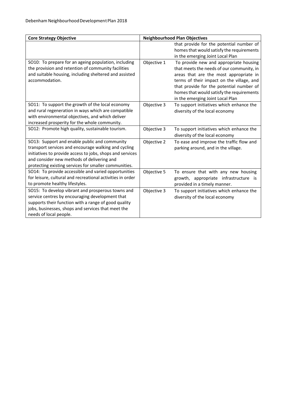| <b>Core Strategy Objective</b>                                                                                |             | <b>Neighbourhood Plan Objectives</b>                                       |
|---------------------------------------------------------------------------------------------------------------|-------------|----------------------------------------------------------------------------|
|                                                                                                               |             | that provide for the potential number of                                   |
|                                                                                                               |             | homes that would satisfy the requirements                                  |
| SO10: To prepare for an ageing population, including                                                          | Objective 1 | in the emerging Joint Local Plan<br>To provide new and appropriate housing |
| the provision and retention of community facilities                                                           |             | that meets the needs of our community, in                                  |
| and suitable housing, including sheltered and assisted                                                        |             | areas that are the most appropriate in                                     |
| accommodation.                                                                                                |             | terms of their impact on the village, and                                  |
|                                                                                                               |             | that provide for the potential number of                                   |
|                                                                                                               |             | homes that would satisfy the requirements                                  |
|                                                                                                               |             | in the emerging Joint Local Plan                                           |
| SO11: To support the growth of the local economy                                                              | Objective 3 | To support initiatives which enhance the                                   |
| and rural regeneration in ways which are compatible                                                           |             | diversity of the local economy                                             |
| with environmental objectives, and which deliver                                                              |             |                                                                            |
| increased prosperity for the whole community.                                                                 |             |                                                                            |
| SO12: Promote high quality, sustainable tourism.                                                              | Objective 3 | To support initiatives which enhance the                                   |
|                                                                                                               |             | diversity of the local economy                                             |
| SO13: Support and enable public and community                                                                 | Objective 2 | To ease and improve the traffic flow and                                   |
| transport services and encourage walking and cycling                                                          |             | parking around, and in the village.                                        |
| initiatives to provide access to jobs, shops and services                                                     |             |                                                                            |
| and consider new methods of delivering and                                                                    |             |                                                                            |
| protecting existing services for smaller communities.<br>SO14: To provide accessible and varied opportunities | Objective 5 |                                                                            |
| for leisure, cultural and recreational activities in order                                                    |             | To ensure that with any new housing                                        |
| to promote healthy lifestyles.                                                                                |             | growth, appropriate infrastructure is<br>provided in a timely manner.      |
| SO15: To develop vibrant and prosperous towns and                                                             | Objective 3 | To support initiatives which enhance the                                   |
| service centres by encouraging development that                                                               |             | diversity of the local economy                                             |
| supports their function with a range of good quality                                                          |             |                                                                            |
| jobs, businesses, shops and services that meet the                                                            |             |                                                                            |
| needs of local people.                                                                                        |             |                                                                            |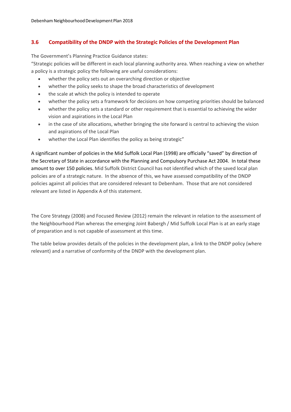#### **3.6 Compatibility of the DNDP with the Strategic Policies of the Development Plan**

The Government's Planning Practice Guidance states:

"Strategic policies will be different in each local planning authority area. When reaching a view on whether a policy is a strategic policy the following are useful considerations:

- whether the policy sets out an overarching direction or objective
- whether the policy seeks to shape the broad characteristics of development
- the scale at which the policy is intended to operate
- whether the policy sets a framework for decisions on how competing priorities should be balanced
- whether the policy sets a standard or other requirement that is essential to achieving the wider vision and aspirations in the Local Plan
- in the case of site allocations, whether bringing the site forward is central to achieving the vision and aspirations of the Local Plan
- whether the Local Plan identifies the policy as being strategic"

A significant number of policies in the Mid Suffolk Local Plan (1998) are officially "saved" by direction of the Secretary of State in accordance with the Planning and Compulsory Purchase Act 2004. In total these amount to over 150 policies. Mid Suffolk District Council has not identified which of the saved local plan policies are of a strategic nature. In the absence of this, we have assessed compatibility of the DNDP policies against all policies that are considered relevant to Debenham. Those that are not considered relevant are listed in Appendix A of this statement.

The Core Strategy (2008) and Focused Review (2012) remain the relevant in relation to the assessment of the Neighbourhood Plan whereas the emerging Joint Babergh / Mid Suffolk Local Plan is at an early stage of preparation and is not capable of assessment at this time.

The table below provides details of the policies in the development plan, a link to the DNDP policy (where relevant) and a narrative of conformity of the DNDP with the development plan.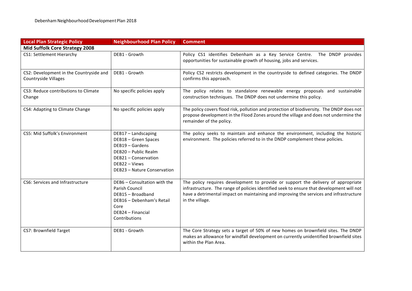| <b>Local Plan Strategic Policy</b>                              | <b>Neighbourhood Plan Policy</b>                                                                                                                               | <b>Comment</b>                                                                                                                                                                                                                                                                              |
|-----------------------------------------------------------------|----------------------------------------------------------------------------------------------------------------------------------------------------------------|---------------------------------------------------------------------------------------------------------------------------------------------------------------------------------------------------------------------------------------------------------------------------------------------|
| Mid Suffolk Core Strategy 2008                                  |                                                                                                                                                                |                                                                                                                                                                                                                                                                                             |
| CS1: Settlement Hierarchy                                       | DEB1 - Growth                                                                                                                                                  | Policy CS1 identifies Debenham as a Key Service Centre. The DNDP provides<br>opportunities for sustainable growth of housing, jobs and services.                                                                                                                                            |
| CS2: Development in the Countryside and<br>Countryside Villages | DEB1 - Growth                                                                                                                                                  | Policy CS2 restricts development in the countryside to defined categories. The DNDP<br>confirms this approach.                                                                                                                                                                              |
| CS3: Reduce contributions to Climate<br>Change                  | No specific policies apply                                                                                                                                     | The policy relates to standalone renewable energy proposals and sustainable<br>construction techniques. The DNDP does not undermine this policy.                                                                                                                                            |
| CS4: Adapting to Climate Change                                 | No specific policies apply                                                                                                                                     | The policy covers flood risk, pollution and protection of biodiversity. The DNDP does not<br>propose development in the Flood Zones around the village and does not undermine the<br>remainder of the policy.                                                                               |
| CS5: Mid Suffolk's Environment                                  | DEB17 - Landscaping<br>DEB18 - Green Spaces<br>DEB19 - Gardens<br>DEB20 - Public Realm<br>DEB21 - Conservation<br>DEB22 - Views<br>DEB23 - Nature Conservation | The policy seeks to maintain and enhance the environment, including the historic<br>environment. The policies referred to in the DNDP complement these policies.                                                                                                                            |
| CS6: Services and Infrastructure                                | DEB6 - Consultation with the<br>Parish Council<br>DEB15 - Broadband<br>DEB16 - Debenham's Retail<br>Core<br>DEB24 - Financial<br>Contributions                 | The policy requires development to provide or support the delivery of appropriate<br>infrastructure. The range of policies identified seek to ensure that development will not<br>have a detrimental impact on maintaining and improving the services and infrastructure<br>in the village. |
| CS7: Brownfield Target                                          | DEB1 - Growth                                                                                                                                                  | The Core Strategy sets a target of 50% of new homes on brownfield sites. The DNDP<br>makes an allowance for windfall development on currently unidentified brownfield sites<br>within the Plan Area.                                                                                        |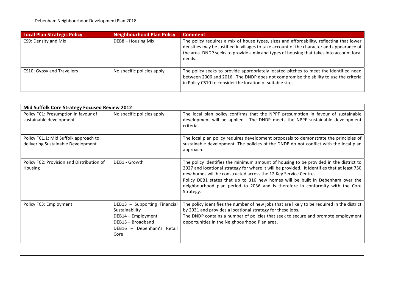| <b>Local Plan Strategic Policy</b> | <b>Neighbourhood Plan Policy</b> | <b>Comment</b>                                                                                                                                                                                                                                                                              |
|------------------------------------|----------------------------------|---------------------------------------------------------------------------------------------------------------------------------------------------------------------------------------------------------------------------------------------------------------------------------------------|
| CS9: Density and Mix               | DEB8 - Housing Mix               | The policy requires a mix of house types, sizes and affordability, reflecting that lower<br>densities may be justified in villages to take account of the character and appearance of<br>the area. DNDP seeks to provide a mix and types of housing that takes into account local<br>needs. |
| CS10: Gypsy and Travellers         | No specific policies apply       | The policy seeks to provide appropriately located pitches to meet the identified need<br>between 2006 and 2016. The DNDP does not compromise the ability to use the criteria<br>in Policy CS10 to consider the location of suitable sites.                                                  |

|                                                                             | Mid Suffolk Core Strategy Focused Review 2012                                                                                  |                                                                                                                                                                                                                                                                                                                                                                                                                                           |  |
|-----------------------------------------------------------------------------|--------------------------------------------------------------------------------------------------------------------------------|-------------------------------------------------------------------------------------------------------------------------------------------------------------------------------------------------------------------------------------------------------------------------------------------------------------------------------------------------------------------------------------------------------------------------------------------|--|
| Policy FC1: Presumption in favour of<br>sustainable development             | No specific policies apply                                                                                                     | The local plan policy confirms that the NPPF presumption in favour of sustainable<br>development will be applied. The DNDP meets the NPPF sustainable development<br>criteria.                                                                                                                                                                                                                                                            |  |
| Policy FC1.1: Mid Suffolk approach to<br>delivering Sustainable Development |                                                                                                                                | The local plan policy requires development proposals to demonstrate the principles of<br>sustainable development. The policies of the DNDP do not conflict with the local plan<br>approach.                                                                                                                                                                                                                                               |  |
| Policy FC2: Provision and Distribution of<br>Housing                        | DEB1 - Growth                                                                                                                  | The policy identifies the minimum amount of housing to be provided in the district to<br>2027 and locational strategy for where it will be provided. It identifies that at least 750<br>new homes will be constructed across the 12 Key Service Centres.<br>Policy DEB1 states that up to 316 new homes will be built in Debenham over the<br>neighbourhood plan period to 2036 and is therefore in conformity with the Core<br>Strategy. |  |
| Policy FC3: Employment                                                      | DEB13 - Supporting Financial<br>Sustainability<br>DEB14 - Employment<br>DEB15 - Broadband<br>DEB16 - Debenham's Retail<br>Core | The policy identifies the number of new jobs that are likely to be required in the district<br>by 2031 and provides a locational strategy for these jobs.<br>The DNDP contains a number of policies that seek to secure and promote employment<br>opportunities in the Neighbourhood Plan area.                                                                                                                                           |  |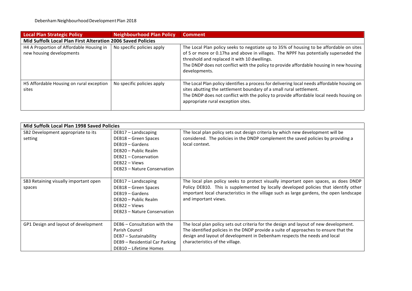| Local Plan Strategic Policy                                          | Neighbourhood Plan Policy  | <b>Comment</b>                                                                                                                                                                                                                                                                                                                               |
|----------------------------------------------------------------------|----------------------------|----------------------------------------------------------------------------------------------------------------------------------------------------------------------------------------------------------------------------------------------------------------------------------------------------------------------------------------------|
| Mid Suffolk Local Plan First Alteration 2006 Saved Policies          |                            |                                                                                                                                                                                                                                                                                                                                              |
| H4 A Proportion of Affordable Housing in<br>new housing developments | No specific policies apply | The Local Plan policy seeks to negotiate up to 35% of housing to be affordable on sites<br>of 5 or more or 0.17ha and above in villages. The NPPF has potentially superseded the<br>threshold and replaced it with 10 dwellings.<br>The DNDP does not conflict with the policy to provide affordable housing in new housing<br>developments. |
| H5 Affordable Housing on rural exception<br>sites                    | No specific policies apply | The Local Plan policy identifies a process for delivering local needs affordable housing on<br>sites abutting the settlement boundary of a small rural settlement.<br>The DNDP does not conflict with the policy to provide affordable local needs housing on<br>appropriate rural exception sites.                                          |

| <b>Mid Suffolk Local Plan 1998 Saved Policies</b> |                                                                                                                                                                  |                                                                                                                                                                                                                                                                                                 |
|---------------------------------------------------|------------------------------------------------------------------------------------------------------------------------------------------------------------------|-------------------------------------------------------------------------------------------------------------------------------------------------------------------------------------------------------------------------------------------------------------------------------------------------|
| SB2 Development appropriate to its<br>setting     | $DEB17 - Landscaping$<br>DEB18 - Green Spaces<br>DEB19 - Gardens<br>DEB20 - Public Realm<br>DEB21 - Conservation<br>DEB22 - Views<br>DEB23 - Nature Conservation | The local plan policy sets out design criteria by which new development will be<br>considered. The policies in the DNDP complement the saved policies by providing a<br>local context.                                                                                                          |
| SB3 Retaining visually important open<br>spaces   | DEB17 - Landscaping<br>DEB18 - Green Spaces<br>DEB19 - Gardens<br>DEB20 - Public Realm<br>$DFB22 - V$ iews<br>DEB23 - Nature Conservation                        | The local plan policy seeks to protect visually important open spaces, as does DNDP<br>Policy DEB10. This is supplemented by locally developed policies that identify other<br>important local characteristics in the village such as large gardens, the open landscape<br>and important views. |
| GP1 Design and layout of development              | DEB6 - Consultation with the<br>Parish Council<br>DEB7 - Sustainability<br>DEB9 - Residential Car Parking<br>DEB10 - Lifetime Homes                              | The local plan policy sets out criteria for the design and layout of new development.<br>The identified policies in the DNDP provide a suite of approaches to ensure that the<br>design and layout of development in Debenham respects the needs and local<br>characteristics of the village.   |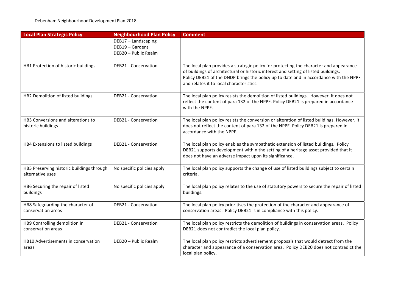| <b>Local Plan Strategic Policy</b>                            | <b>Neighbourhood Plan Policy</b>                               | <b>Comment</b>                                                                                                                                                                                                                                                                                                     |
|---------------------------------------------------------------|----------------------------------------------------------------|--------------------------------------------------------------------------------------------------------------------------------------------------------------------------------------------------------------------------------------------------------------------------------------------------------------------|
|                                                               | DEB17 - Landscaping<br>DEB19 - Gardens<br>DEB20 - Public Realm |                                                                                                                                                                                                                                                                                                                    |
| HB1 Protection of historic buildings                          | DEB21 - Conservation                                           | The local plan provides a strategic policy for protecting the character and appearance<br>of buildings of architectural or historic interest and setting of listed buildings.<br>Policy DEB21 of the DNDP brings the policy up to date and in accordance with the NPPF<br>and relates it to local characteristics. |
| HB2 Demolition of listed buildings                            | DEB21 - Conservation                                           | The local plan policy resists the demolition of listed buildings. However, it does not<br>reflect the content of para 132 of the NPPF. Policy DEB21 is prepared in accordance<br>with the NPPF.                                                                                                                    |
| HB3 Conversions and alterations to<br>historic buildings      | DEB21 - Conservation                                           | The local plan policy resists the conversion or alteration of listed buildings. However, it<br>does not reflect the content of para 132 of the NPPF. Policy DEB21 is prepared in<br>accordance with the NPPF.                                                                                                      |
| HB4 Extensions to listed buildings                            | DEB21 - Conservation                                           | The local plan policy enables the sympathetic extension of listed buildings. Policy<br>DEB21 supports development within the setting of a heritage asset provided that it<br>does not have an adverse impact upon its significance.                                                                                |
| HB5 Preserving historic buildings through<br>alternative uses | No specific policies apply                                     | The local plan policy supports the change of use of listed buildings subject to certain<br>criteria.                                                                                                                                                                                                               |
| HB6 Securing the repair of listed<br>buildings                | No specific policies apply                                     | The local plan policy relates to the use of statutory powers to secure the repair of listed<br>buildings.                                                                                                                                                                                                          |
| HB8 Safeguarding the character of<br>conservation areas       | DEB21 - Conservation                                           | The local plan policy prioritises the protection of the character and appearance of<br>conservation areas. Policy DEB21 is in compliance with this policy.                                                                                                                                                         |
| HB9 Controlling demolition in<br>conservation areas           | DEB21 - Conservation                                           | The local plan policy restricts the demolition of buildings in conservation areas. Policy<br>DEB21 does not contradict the local plan policy.                                                                                                                                                                      |
| HB10 Advertisements in conservation<br>areas                  | DEB20 - Public Realm                                           | The local plan policy restricts advertisement proposals that would detract from the<br>character and appearance of a conservation area. Policy DEB20 does not contradict the<br>local plan policy.                                                                                                                 |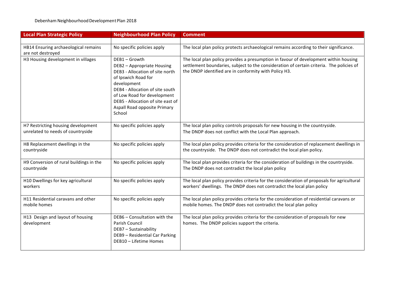| <b>Local Plan Strategic Policy</b>                                      | <b>Neighbourhood Plan Policy</b>                                                                                                                                                                                                                     | <b>Comment</b>                                                                                                                                                                                                                            |
|-------------------------------------------------------------------------|------------------------------------------------------------------------------------------------------------------------------------------------------------------------------------------------------------------------------------------------------|-------------------------------------------------------------------------------------------------------------------------------------------------------------------------------------------------------------------------------------------|
|                                                                         |                                                                                                                                                                                                                                                      |                                                                                                                                                                                                                                           |
| HB14 Ensuring archaeological remains                                    | No specific policies apply                                                                                                                                                                                                                           | The local plan policy protects archaeological remains according to their significance.                                                                                                                                                    |
| are not destroyed                                                       | DEB1-Growth                                                                                                                                                                                                                                          |                                                                                                                                                                                                                                           |
| H3 Housing development in villages                                      | DEB2 - Appropriate Housing<br>DEB3 - Allocation of site north<br>of Ipswich Road for<br>development<br>DEB4 - Allocation of site south<br>of Low Road for development<br>DEB5 - Allocation of site east of<br>Aspall Road opposite Primary<br>School | The local plan policy provides a presumption in favour of development within housing<br>settlement boundaries, subject to the consideration of certain criteria. The policies of<br>the DNDP identified are in conformity with Policy H3. |
| H7 Restricting housing development<br>unrelated to needs of countryside | No specific policies apply                                                                                                                                                                                                                           | The local plan policy controls proposals for new housing in the countryside.<br>The DNDP does not conflict with the Local Plan approach.                                                                                                  |
| H8 Replacement dwellings in the<br>countryside                          | No specific policies apply                                                                                                                                                                                                                           | The local plan policy provides criteria for the consideration of replacement dwellings in<br>the countryside. The DNDP does not contradict the local plan policy.                                                                         |
| H9 Conversion of rural buildings in the<br>countryside                  | No specific policies apply                                                                                                                                                                                                                           | The local plan provides criteria for the consideration of buildings in the countryside.<br>The DNDP does not contradict the local plan policy                                                                                             |
| H10 Dwellings for key agricultural<br>workers                           | No specific policies apply                                                                                                                                                                                                                           | The local plan policy provides criteria for the consideration of proposals for agricultural<br>workers' dwellings. The DNDP does not contradict the local plan policy                                                                     |
| H11 Residential caravans and other<br>mobile homes                      | No specific policies apply                                                                                                                                                                                                                           | The local plan policy provides criteria for the consideration of residential caravans or<br>mobile homes. The DNDP does not contradict the local plan policy                                                                              |
| H13 Design and layout of housing<br>development                         | DEB6 - Consultation with the<br>Parish Council<br>DEB7 - Sustainability<br>DEB9 - Residential Car Parking<br>DEB10 - Lifetime Homes                                                                                                                  | The local plan policy provides criteria for the consideration of proposals for new<br>homes. The DNDP policies support the criteria.                                                                                                      |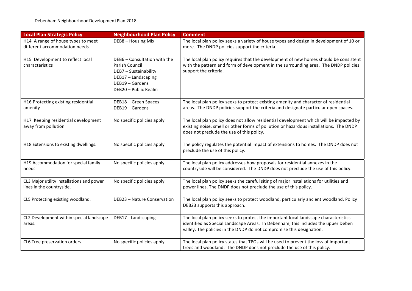| <b>Local Plan Strategic Policy</b>                                     | <b>Neighbourhood Plan Policy</b>                                                                                                          | <b>Comment</b>                                                                                                                                                                                                                                    |
|------------------------------------------------------------------------|-------------------------------------------------------------------------------------------------------------------------------------------|---------------------------------------------------------------------------------------------------------------------------------------------------------------------------------------------------------------------------------------------------|
| H14 A range of house types to meet<br>different accommodation needs    | DEB8 - Housing Mix                                                                                                                        | The local plan policy seeks a variety of house types and design in development of 10 or<br>more. The DNDP policies support the criteria.                                                                                                          |
| H15 Development to reflect local<br>characteristics                    | DEB6 - Consultation with the<br>Parish Council<br>DEB7 - Sustainability<br>DEB17 - Landscaping<br>DEB19 - Gardens<br>DEB20 - Public Realm | The local plan policy requires that the development of new homes should be consistent<br>with the pattern and form of development in the surrounding area. The DNDP policies<br>support the criteria.                                             |
| H16 Protecting existing residential<br>amenity                         | DEB18 - Green Spaces<br>DEB19 - Gardens                                                                                                   | The local plan policy seeks to protect existing amenity and character of residential<br>areas. The DNDP policies support the criteria and designate particular open spaces.                                                                       |
| H17 Keeping residential development<br>away from pollution             | No specific policies apply                                                                                                                | The local plan policy does not allow residential development which will be impacted by<br>existing noise, smell or other forms of pollution or hazardous installations. The DNDP<br>does not preclude the use of this policy.                     |
| H18 Extensions to existing dwellings.                                  | No specific policies apply                                                                                                                | The policy regulates the potential impact of extensions to homes. The DNDP does not<br>preclude the use of this policy.                                                                                                                           |
| H19 Accommodation for special family<br>needs.                         | No specific policies apply                                                                                                                | The local plan policy addresses how proposals for residential annexes in the<br>countryside will be considered. The DNDP does not preclude the use of this policy.                                                                                |
| CL3 Major utility installations and power<br>lines in the countryside. | No specific policies apply                                                                                                                | The local plan policy seeks the careful siting of major installations for utilities and<br>power lines. The DNDP does not preclude the use of this policy.                                                                                        |
| CL5 Protecting existing woodland.                                      | DEB23 - Nature Conservation                                                                                                               | The local plan policy seeks to protect woodland, particularly ancient woodland. Policy<br>DEB23 supports this approach.                                                                                                                           |
| CL2 Development within special landscape<br>areas.                     | DEB17 - Landscaping                                                                                                                       | The local plan policy seeks to protect the important local landscape characteristics<br>identified as Special Landscape Areas. In Debenham, this includes the upper Deben<br>valley. The policies in the DNDP do not compromise this designation. |
| CL6 Tree preservation orders.                                          | No specific policies apply                                                                                                                | The local plan policy states that TPOs will be used to prevent the loss of important<br>trees and woodland. The DNDP does not preclude the use of this policy.                                                                                    |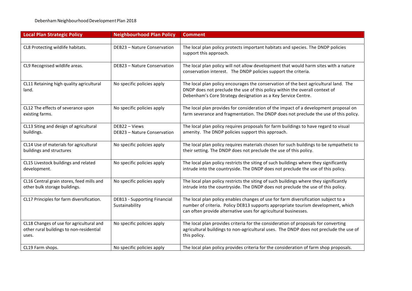| <b>Local Plan Strategic Policy</b>                                                            | <b>Neighbourhood Plan Policy</b>                      | <b>Comment</b>                                                                                                                                                                                                                            |
|-----------------------------------------------------------------------------------------------|-------------------------------------------------------|-------------------------------------------------------------------------------------------------------------------------------------------------------------------------------------------------------------------------------------------|
|                                                                                               |                                                       |                                                                                                                                                                                                                                           |
| CL8 Protecting wildlife habitats.                                                             | DEB23 - Nature Conservation                           | The local plan policy protects important habitats and species. The DNDP policies<br>support this approach.                                                                                                                                |
| CL9 Recognised wildlife areas.                                                                | DEB23 - Nature Conservation                           | The local plan policy will not allow development that would harm sites with a nature<br>conservation interest. The DNDP policies support the criteria.                                                                                    |
| CL11 Retaining high quality agricultural<br>land.                                             | No specific policies apply                            | The local plan policy encourages the conservation of the best agricultural land. The<br>DNDP does not preclude the use of this policy within the overall context of<br>Debenham's Core Strategy designation as a Key Service Centre.      |
| CL12 The effects of severance upon<br>existing farms.                                         | No specific policies apply                            | The local plan provides for consideration of the impact of a development proposal on<br>farm severance and fragmentation. The DNDP does not preclude the use of this policy.                                                              |
| CL13 Siting and design of agricultural<br>buildings.                                          | DEB22 - Views<br>DEB23 - Nature Conservation          | The local plan policy requires proposals for farm buildings to have regard to visual<br>amenity. The DNDP policies support this approach.                                                                                                 |
| CL14 Use of materials for agricultural<br>buildings and structures                            | No specific policies apply                            | The local plan policy requires materials chosen for such buildings to be sympathetic to<br>their setting. The DNDP does not preclude the use of this policy.                                                                              |
| CL15 Livestock buildings and related<br>development.                                          | No specific policies apply                            | The local plan policy restricts the siting of such buildings where they significantly<br>intrude into the countryside. The DNDP does not preclude the use of this policy.                                                                 |
| CL16 Central grain stores, feed mills and<br>other bulk storage buildings.                    | No specific policies apply                            | The local plan policy restricts the siting of such buildings where they significantly<br>intrude into the countryside. The DNDP does not preclude the use of this policy.                                                                 |
| CL17 Principles for farm diversification.                                                     | <b>DEB13 - Supporting Financial</b><br>Sustainability | The local plan policy enables changes of use for farm diversification subject to a<br>number of criteria. Policy DEB13 supports appropriate tourism development, which<br>can often provide alternative uses for agricultural businesses. |
| CL18 Changes of use for agricultural and<br>other rural buildings to non-residential<br>uses. | No specific policies apply                            | The local plan provides criteria for the consideration of proposals for converting<br>agricultural buildings to non-agricultural uses. The DNDP does not preclude the use of<br>this policy.                                              |
| CL19 Farm shops.                                                                              | No specific policies apply                            | The local plan policy provides criteria for the consideration of farm shop proposals.                                                                                                                                                     |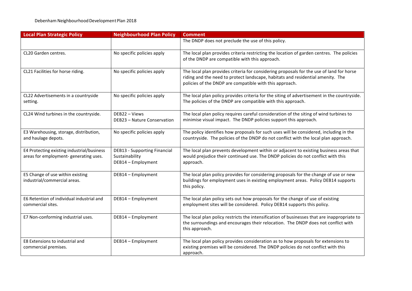| <b>Local Plan Strategic Policy</b>                                                  | <b>Neighbourhood Plan Policy</b>                                            | <b>Comment</b>                                                                                                                                                                                                                         |
|-------------------------------------------------------------------------------------|-----------------------------------------------------------------------------|----------------------------------------------------------------------------------------------------------------------------------------------------------------------------------------------------------------------------------------|
|                                                                                     |                                                                             | The DNDP does not preclude the use of this policy.                                                                                                                                                                                     |
| CL20 Garden centres.                                                                | No specific policies apply                                                  | The local plan provides criteria restricting the location of garden centres. The policies<br>of the DNDP are compatible with this approach.                                                                                            |
| CL21 Facilities for horse riding.                                                   | No specific policies apply                                                  | The local plan provides criteria for considering proposals for the use of land for horse<br>riding and the need to protect landscape, habitats and residential amenity. The<br>policies of the DNDP are compatible with this approach. |
| CL22 Advertisements in a countryside<br>setting.                                    | No specific policies apply                                                  | The local plan policy provides criteria for the siting of advertisement in the countryside.<br>The policies of the DNDP are compatible with this approach.                                                                             |
| CL24 Wind turbines in the countryside.                                              | DEB22 - Views<br>DEB23 - Nature Conservation                                | The local plan policy requires careful consideration of the siting of wind turbines to<br>minimise visual impact. The DNDP policies support this approach.                                                                             |
| E3 Warehousing, storage, distribution,<br>and haulage depots.                       | No specific policies apply                                                  | The policy identifies how proposals for such uses will be considered, including in the<br>countryside. The policies of the DNDP do not conflict with the local plan approach.                                                          |
| E4 Protecting existing industrial/business<br>areas for employment-generating uses. | <b>DEB13 - Supporting Financial</b><br>Sustainability<br>DEB14 - Employment | The local plan prevents development within or adjacent to existing business areas that<br>would prejudice their continued use. The DNDP policies do not conflict with this<br>approach.                                                |
| E5 Change of use within existing<br>industrial/commercial areas.                    | DEB14 - Employment                                                          | The local plan policy provides for considering proposals for the change of use or new<br>buildings for employment uses in existing employment areas. Policy DEB14 supports<br>this policy.                                             |
| E6 Retention of individual industrial and<br>commercial sites.                      | DEB14 - Employment                                                          | The local plan policy sets out how proposals for the change of use of existing<br>employment sites will be considered. Policy DEB14 supports this policy.                                                                              |
| E7 Non-conforming industrial uses.                                                  | DEB14 - Employment                                                          | The local plan policy restricts the intensification of businesses that are inappropriate to<br>the surroundings and encourages their relocation. The DNDP does not conflict with<br>this approach.                                     |
| E8 Extensions to industrial and<br>commercial premises.                             | DEB14 - Employment                                                          | The local plan policy provides consideration as to how proposals for extensions to<br>existing premises will be considered. The DNDP policies do not conflict with this<br>approach.                                                   |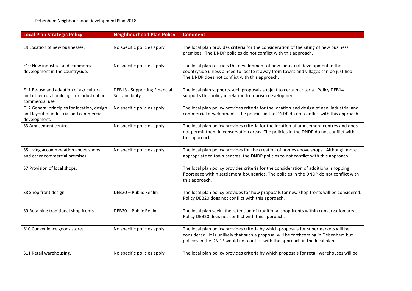| <b>Local Plan Strategic Policy</b>                                                                       | <b>Neighbourhood Plan Policy</b>                      | <b>Comment</b>                                                                                                                                                                                                                                             |
|----------------------------------------------------------------------------------------------------------|-------------------------------------------------------|------------------------------------------------------------------------------------------------------------------------------------------------------------------------------------------------------------------------------------------------------------|
| E9 Location of new businesses.                                                                           | No specific policies apply                            | The local plan provides criteria for the consideration of the siting of new business<br>premises. The DNDP policies do not conflict with this approach.                                                                                                    |
| E10 New industrial and commercial<br>development in the countryside.                                     | No specific policies apply                            | The local plan restricts the development of new industrial development in the<br>countryside unless a need to locate it away from towns and villages can be justified.<br>The DNDP does not conflict with this approach.                                   |
| E11 Re-use and adaption of agricultural<br>and other rural buildings for industrial or<br>commercial use | <b>DEB13 - Supporting Financial</b><br>Sustainability | The local plan supports such proposals subject to certain criteria. Policy DEB14<br>supports this policy in relation to tourism development.                                                                                                               |
| E12 General principles for location, design<br>and layout of industrial and commercial<br>development.   | No specific policies apply                            | The local plan policy provides criteria for the location and design of new industrial and<br>commercial development. The policies in the DNDP do not conflict with this approach.                                                                          |
| S3 Amusement centres.                                                                                    | No specific policies apply                            | The local plan policy provides criteria for the location of amusement centres and does<br>not permit them in conservation areas. The policies in the DNDP do not conflict with<br>this approach.                                                           |
| S5 Living accommodation above shops<br>and other commercial premises.                                    | No specific policies apply                            | The local plan policy provides for the creation of homes above shops. Although more<br>appropriate to town centres, the DNDP policies to not conflict with this approach.                                                                                  |
| S7 Provision of local shops.                                                                             |                                                       | The local plan policy provides criteria for the consideration of additional shopping<br>floorspace within settlement boundaries. The policies in the DNDP do not conflict with<br>this approach.                                                           |
| S8 Shop front design.                                                                                    | DEB20 - Public Realm                                  | The local plan policy provides for how proposals for new shop fronts will be considered.<br>Policy DEB20 does not conflict with this approach.                                                                                                             |
| S9 Retaining traditional shop fronts.                                                                    | DEB20 - Public Realm                                  | The local plan seeks the retention of traditional shop fronts within conservation areas.<br>Policy DEB20 does not conflict with this approach.                                                                                                             |
| S10 Convenience goods stores.                                                                            | No specific policies apply                            | The local plan policy provides criteria by which proposals for supermarkets will be<br>considered. It is unlikely that such a proposal will be forthcoming in Debenham but<br>policies in the DNDP would not conflict with the approach in the local plan. |
| S11 Retail warehousing.                                                                                  | No specific policies apply                            | The local plan policy provides criteria by which proposals for retail warehouses will be                                                                                                                                                                   |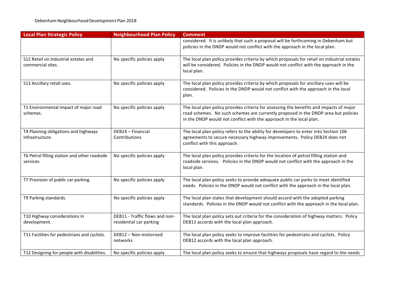| <b>Local Plan Strategic Policy</b>                        | <b>Neighbourhood Plan Policy</b>                          | <b>Comment</b>                                                                                                                                                                                                                                       |
|-----------------------------------------------------------|-----------------------------------------------------------|------------------------------------------------------------------------------------------------------------------------------------------------------------------------------------------------------------------------------------------------------|
|                                                           |                                                           | considered. It is unlikely that such a proposal will be forthcoming in Debenham but<br>policies in the DNDP would not conflict with the approach in the local plan.                                                                                  |
| S12 Retail on industrial estates and<br>commercial sites. | No specific policies apply                                | The local plan policy provides criteria by which proposals for retail on industrial estates<br>will be considered. Policies in the DNDP would not conflict with the approach in the<br>local plan.                                                   |
| S13 Ancillary retail uses.                                | No specific policies apply                                | The local plan policy provides criteria by which proposals for ancillary uses will be<br>considered. Policies in the DNDP would not conflict with the approach in the local<br>plan.                                                                 |
| T1 Environmental impact of major road<br>schemes.         | No specific policies apply                                | The local plan policy provides criteria for assessing the benefits and impacts of major<br>road schemes. No such schemes are currently proposed in the DNDP area but policies<br>in the DNDP would not conflict with the approach in the local plan. |
| T4 Planning obligations and highways<br>infrastructure.   | DEB24 - Financial<br>Contributions                        | The local plan policy refers to the ability for developers to enter into Section 106<br>agreements to secure necessary highway improvements. Policy DEB24 does not<br>conflict with this approach.                                                   |
| T6 Petrol filling station and other roadside<br>services. | No specific policies apply                                | The local plan policy provides criteria for the location of petrol filling station and<br>roadside services. Policies in the DNDP would not conflict with the approach in the<br>local plan.                                                         |
| T7 Provision of public car parking.                       | No specific policies apply                                | The local plan policy seeks to provide adequate public car parks to meet identified<br>needs. Policies in the DNDP would not conflict with the approach in the local plan.                                                                           |
| T9 Parking standards.                                     | No specific policies apply                                | The local plan states that development should accord with the adopted parking<br>standards. Policies in the DNDP would not conflict with the approach in the local plan.                                                                             |
| T10 Highway considerations in<br>development.             | DEB11 - Traffic flows and non-<br>residential car parking | The local plan policy sets out criteria for the consideration of highway matters. Policy<br>DEB11 accords with the local plan approach.                                                                                                              |
| T11 Facilities for pedestrians and cyclists.              | DEB12 - Non-motorised<br>networks                         | The local plan policy seeks to improve facilities for pedestrians and cyclists. Policy<br>DEB12 accords with the local plan approach.                                                                                                                |
| T12 Designing for people with disabilities.               | No specific policies apply                                | The local plan policy seeks to ensure that highways proposals have regard to the needs                                                                                                                                                               |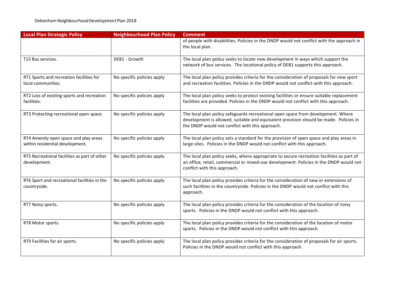| <b>Local Plan Strategic Policy</b>                                       | <b>Neighbourhood Plan Policy</b> | <b>Comment</b>                                                                                                                                                                                                               |
|--------------------------------------------------------------------------|----------------------------------|------------------------------------------------------------------------------------------------------------------------------------------------------------------------------------------------------------------------------|
|                                                                          |                                  | of people with disabilities. Policies in the DNDP would not conflict with the approach in<br>the local plan.                                                                                                                 |
| T13 Bus services.                                                        | DEB1 - Growth                    | The local plan policy seeks to locate new development in ways which support the<br>network of bus services. The locational policy of DEB1 supports this approach.                                                            |
| RT1 Sports and recreation facilities for<br>local communities.           | No specific policies apply       | The local plan policy provides criteria for the consideration of proposals for new sport<br>and recreation facilities. Policies in the DNDP would not conflict with this approach.                                           |
| RT2 Loss of existing sports and recreation<br>facilities.                | No specific policies apply       | The local plan policy seeks to protect existing facilities or ensure suitable replacement<br>facilities are provided. Policies in the DNDP would not conflict with this approach.                                            |
| RT3 Protecting recreational open space.                                  | No specific policies apply       | The local plan policy safeguards recreational open space from development. Where<br>development is allowed, suitable and equivalent provision should be made. Policies in<br>the DNDP would not conflict with this approach. |
| RT4 Amenity open space and play areas<br>within residential development. | No specific policies apply       | The local plan policy sets a standard for the provision of open space and play areas in<br>large sites. Policies in the DNDP would not conflict with this approach.                                                          |
| RT5 Recreational facilities as part of other<br>development.             | No specific policies apply       | The local plan policy seeks, where appropriate to secure recreation facilities as part of<br>an office, retail, commercial or mixed-use development. Policies in the DNDP would not<br>conflict with this approach.          |
| RT6 Sport and recreational facilities in the<br>countryside.             | No specific policies apply       | The local plan policy provides criteria for the consideration of new or extensions of<br>such facilities in the countryside. Policies in the DNDP would not conflict with this<br>approach.                                  |
| RT7 Noisy sports.                                                        | No specific policies apply       | The local plan policy provides criteria for the consideration of the location of noisy<br>sports. Policies in the DNDP would not conflict with this approach.                                                                |
| RT8 Motor sports.                                                        | No specific policies apply       | The local plan policy provides criteria for the consideration of the location of motor<br>sports. Policies in the DNDP would not conflict with this approach.                                                                |
| RT9 Facilities for air sports.                                           | No specific policies apply       | The local plan policy provides criteria for the consideration of proposals for air sports.<br>Policies in the DNDP would not conflict with this approach.                                                                    |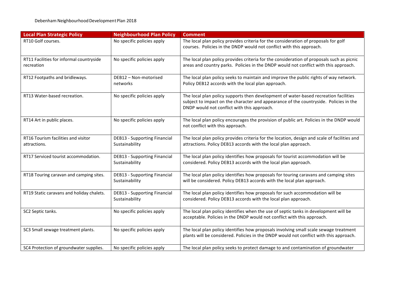| <b>Local Plan Strategic Policy</b>                     | <b>Neighbourhood Plan Policy</b>                      | <b>Comment</b>                                                                                                                                                                                                               |
|--------------------------------------------------------|-------------------------------------------------------|------------------------------------------------------------------------------------------------------------------------------------------------------------------------------------------------------------------------------|
| RT10 Golf courses.                                     | No specific policies apply                            | The local plan policy provides criteria for the consideration of proposals for golf<br>courses. Policies in the DNDP would not conflict with this approach.                                                                  |
| RT11 Facilities for informal countryside<br>recreation | No specific policies apply                            | The local plan policy provides criteria for the consideration of proposals such as picnic<br>areas and country parks. Policies in the DNDP would not conflict with this approach.                                            |
| RT12 Footpaths and bridleways.                         | DEB12 - Non-motorised<br>networks                     | The local plan policy seeks to maintain and improve the public rights of way network.<br>Policy DEB12 accords with the local plan approach.                                                                                  |
| RT13 Water-based recreation.                           | No specific policies apply                            | The local plan policy supports then development of water-based recreation facilities<br>subject to impact on the character and appearance of the countryside. Policies in the<br>DNDP would not conflict with this approach. |
| RT14 Art in public places.                             | No specific policies apply                            | The local plan policy encourages the provision of public art. Policies in the DNDP would<br>not conflict with this approach.                                                                                                 |
| RT16 Tourism facilities and visitor<br>attractions.    | <b>DEB13 - Supporting Financial</b><br>Sustainability | The local plan policy provides criteria for the location, design and scale of facilities and<br>attractions. Policy DEB13 accords with the local plan approach.                                                              |
| RT17 Serviced tourist accommodation.                   | <b>DEB13 - Supporting Financial</b><br>Sustainability | The local plan policy identifies how proposals for tourist accommodation will be<br>considered. Policy DEB13 accords with the local plan approach.                                                                           |
| RT18 Touring caravan and camping sites.                | <b>DEB13 - Supporting Financial</b><br>Sustainability | The local plan policy identifies how proposals for touring caravans and camping sites<br>will be considered. Policy DEB13 accords with the local plan approach.                                                              |
| RT19 Static caravans and holiday chalets.              | <b>DEB13 - Supporting Financial</b><br>Sustainability | The local plan policy identifies how proposals for such accommodation will be<br>considered. Policy DEB13 accords with the local plan approach.                                                                              |
| SC2 Septic tanks.                                      | No specific policies apply                            | The local plan policy identifies when the use of septic tanks in development will be<br>acceptable. Policies in the DNDP would not conflict with this approach.                                                              |
| SC3 Small sewage treatment plants.                     | No specific policies apply                            | The local plan policy identifies how proposals involving small scale sewage treatment<br>plants will be considered. Policies in the DNDP would not conflict with this approach.                                              |
| SC4 Protection of groundwater supplies.                | No specific policies apply                            | The local plan policy seeks to protect damage to and contamination of groundwater                                                                                                                                            |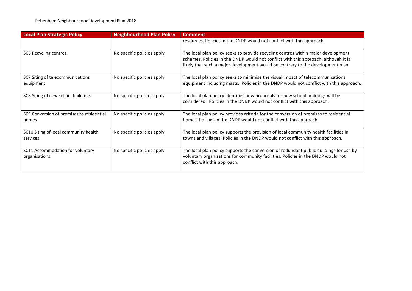| <b>Local Plan Strategic Policy</b>                 | <b>Neighbourhood Plan Policy</b> | <b>Comment</b>                                                                                                                                                                                                                                              |
|----------------------------------------------------|----------------------------------|-------------------------------------------------------------------------------------------------------------------------------------------------------------------------------------------------------------------------------------------------------------|
|                                                    |                                  | resources. Policies in the DNDP would not conflict with this approach.                                                                                                                                                                                      |
| SC6 Recycling centres.                             | No specific policies apply       | The local plan policy seeks to provide recycling centres within major development<br>schemes. Policies in the DNDP would not conflict with this approach, although it is<br>likely that such a major development would be contrary to the development plan. |
| SC7 Siting of telecommunications<br>equipment      | No specific policies apply       | The local plan policy seeks to minimise the visual impact of telecommunications<br>equipment including masts. Policies in the DNDP would not conflict with this approach.                                                                                   |
| SC8 Siting of new school buildings.                | No specific policies apply       | The local plan policy identifies how proposals for new school buildings will be<br>considered. Policies in the DNDP would not conflict with this approach.                                                                                                  |
| SC9 Conversion of premises to residential<br>homes | No specific policies apply       | The local plan policy provides criteria for the conversion of premises to residential<br>homes. Policies in the DNDP would not conflict with this approach.                                                                                                 |
| SC10 Siting of local community health<br>services. | No specific policies apply       | The local plan policy supports the provision of local community health facilities in<br>towns and villages. Policies in the DNDP would not conflict with this approach.                                                                                     |
| SC11 Accommodation for voluntary<br>organisations. | No specific policies apply       | The local plan policy supports the conversion of redundant public buildings for use by<br>voluntary organisations for community facilities. Policies in the DNDP would not<br>conflict with this approach.                                                  |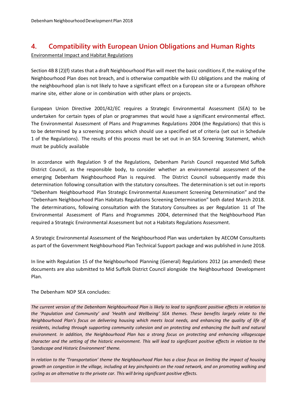# **4. Compatibility with European Union Obligations and Human Rights**

Environmental Impact and Habitat Regulations

Section 4B 8 (2)(f) states that a draft Neighbourhood Plan will meet the basic conditions if, the making of the Neighbourhood Plan does not breach, and is otherwise compatible with EU obligations and the making of the neighbourhood plan is not likely to have a significant effect on a European site or a European offshore marine site, either alone or in combination with other plans or projects.

European Union Directive 2001/42/EC requires a Strategic Environmental Assessment (SEA) to be undertaken for certain types of plan or programmes that would have a significant environmental effect. The Environmental Assessment of Plans and Programmes Regulations 2004 (the Regulations) that this is to be determined by a screening process which should use a specified set of criteria (set out in Schedule 1 of the Regulations). The results of this process must be set out in an SEA Screening Statement, which must be publicly available

In accordance with Regulation 9 of the Regulations, Debenham Parish Council requested Mid Suffolk District Council, as the responsible body, to consider whether an environmental assessment of the emerging Debenham Neighbourhood Plan is required. The District Council subsequently made this determination following consultation with the statutory consultees. The determination is set out in reports "Debenham Neighbourhood Plan Strategic Environmental Assessment Screening Determination" and the "Debenham Neighbourhood Plan Habitats Regulations Screening Determination" both dated March 2018. The determinations, following consultation with the Statutory Consultees as per Regulation 11 of The Environmental Assessment of Plans and Programmes 2004, determined that the Neighbourhood Plan required a Strategic Environmental Assessment but not a Habitats Regulations Assessment.

A Strategic Environmental Assessment of the Neighbourhood Plan was undertaken by AECOM Consultants as part of the Government Neighbourhood Plan Technical Support package and was published in June 2018.

In line with Regulation 15 of the Neighbourhood Planning (General) Regulations 2012 (as amended) these documents are also submitted to Mid Suffolk District Council alongside the Neighbourhood Development Plan.

The Debenham NDP SEA concludes:

*The current version of the Debenham Neighbourhood Plan is likely to lead to significant positive effects in relation to the 'Population and Community' and 'Health and Wellbeing' SEA themes. These benefits largely relate to the Neighbourhood Plan's focus on delivering housing which meets local needs, and enhancing the quality of life of*  residents, including through supporting community cohesion and on protecting and enhancing the built and natural *environment. In addition, the Neighbourhood Plan has a strong focus on protecting and enhancing villagescape character and the setting of the historic environment. This will lead to significant positive effects in relation to the 'Landscape and Historic Environment' theme.* 

*In relation to the 'Transportation' theme the Neighbourhood Plan has a close focus on limiting the impact of housing growth on congestion in the village, including at key pinchpoints on the road network, and on promoting walking and cycling as an alternative to the private car. This will bring significant positive effects.*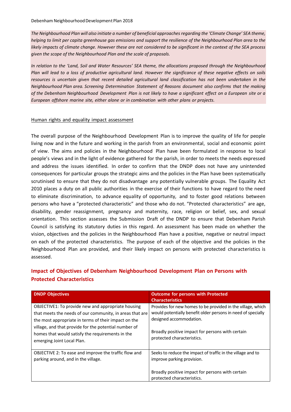*The Neighbourhood Plan will also initiate a number of beneficial approaches regarding the 'Climate Change' SEA theme, helping to limit per capita greenhouse gas emissions and support the resilience of the Neighbourhood Plan area to the likely impacts of climate change. However these are not considered to be significant in the context of the SEA process given the scope of the Neighbourhood Plan and the scale of proposals.* 

*In relation to the 'Land, Soil and Water Resources' SEA theme, the allocations proposed through the Neighbourhood Plan will lead to a loss of productive agricultural land. However the significance of these negative effects on soils*  resources is uncertain given that recent detailed agricultural land classification has not been undertaken in the *Neighbourhood Plan area. Screening Determination Statement of Reasons document also confirms that the making of the Debenham Neighbourhood Development Plan is not likely to have a significant effect on a European site or a European offshore marine site, either alone or in combination with other plans or projects.*

#### Human rights and equality impact assessment

The overall purpose of the Neighbourhood Development Plan is to improve the quality of life for people living now and in the future and working in the parish from an environmental, social and economic point of view. The aims and policies in the Neighbourhood Plan have been formulated in response to local people's views and in the light of evidence gathered for the parish, in order to meets the needs expressed and address the issues identified. In order to confirm that the DNDP does not have any unintended consequences for particular groups the strategic aims and the policies in the Plan have been systematically scrutinised to ensure that they do not disadvantage any potentially vulnerable groups. The Equality Act 2010 places a duty on all public authorities in the exercise of their functions to have regard to the need to eliminate discrimination, to advance equality of opportunity, and to foster good relations between persons who have a "protected characteristic" and those who do not. "Protected characteristics" are age, disability, gender reassignment, pregnancy and maternity, race, religion or belief, sex, and sexual orientation. This section assesses the Submission Draft of the DNDP to ensure that Debenham Parish Council is satisfying its statutory duties in this regard. An assessment has been made on whether the vision, objectives and the policies in the Neighbourhood Plan have a positive, negative or neutral impact on each of the protected characteristics. The purpose of each of the objective and the policies in the Neighbourhood Plan are provided, and their likely impact on persons with protected characteristics is assessed.

#### **Impact of Objectives of Debenham Neighbourhood Development Plan on Persons with Protected Characteristics**

| <b>DNDP Objectives</b>                                                                                                                                                                                                                                                                                            | <b>Outcome for persons with Protected</b><br><b>Characteristics</b>                                                                                                                                                                      |
|-------------------------------------------------------------------------------------------------------------------------------------------------------------------------------------------------------------------------------------------------------------------------------------------------------------------|------------------------------------------------------------------------------------------------------------------------------------------------------------------------------------------------------------------------------------------|
| OBJECTIVE1: To provide new and appropriate housing<br>that meets the needs of our community, in areas that are<br>the most appropriate in terms of their impact on the<br>village, and that provide for the potential number of<br>homes that would satisfy the requirements in the<br>emerging Joint Local Plan. | Provides for new homes to be provided in the village, which<br>would potentially benefit older persons in need of specially<br>designed accommodation.<br>Broadly positive impact for persons with certain<br>protected characteristics. |
| OBJECTIVE 2: To ease and improve the traffic flow and<br>parking around, and in the village.                                                                                                                                                                                                                      | Seeks to reduce the impact of traffic in the village and to<br>improve parking provision.<br>Broadly positive impact for persons with certain<br>protected characteristics.                                                              |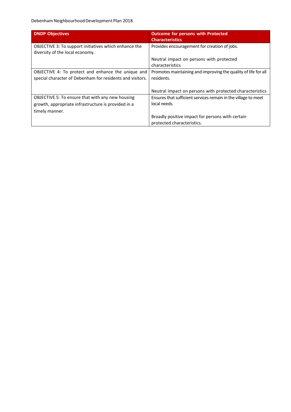| <b>DNDP Objectives</b>                                                                          | <b>Outcome for persons with Protected</b><br><b>Characteristics</b>            |
|-------------------------------------------------------------------------------------------------|--------------------------------------------------------------------------------|
| <b>OBJECTIVE 3: To support initiatives which enhance the</b><br>diversity of the local economy. | Provides encouragement for creation of jobs.                                   |
|                                                                                                 | Neutral impact on persons with protected                                       |
|                                                                                                 | characteristics                                                                |
| OBJECTIVE 4: To protect and enhance the unique and                                              | Promotes maintaining and improving the quality of life for all                 |
| special character of Debenham for residents and visitors.                                       | residents.                                                                     |
|                                                                                                 |                                                                                |
|                                                                                                 | Neutral impact on persons with protected characteristics                       |
| <b>OBJECTIVE 5: To ensure that with any new housing</b>                                         | Ensures that sufficient services remain in the village to meet                 |
| growth, appropriate infrastructure is provided in a                                             | local needs.                                                                   |
| timely manner.                                                                                  |                                                                                |
|                                                                                                 | Broadly positive impact for persons with certain<br>protected characteristics. |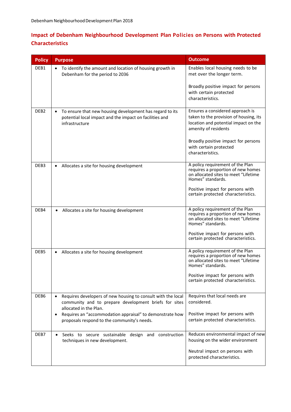## **Impact of Debenham Neighbourhood Development Plan Policies on Persons with Protected Characteristics**

| <b>Policy</b>    | <b>Purpose</b>                                                                                                                                  | <b>Outcome</b>                                                                                                                                                                                              |
|------------------|-------------------------------------------------------------------------------------------------------------------------------------------------|-------------------------------------------------------------------------------------------------------------------------------------------------------------------------------------------------------------|
| DEB1             | To identify the amount and location of housing growth in<br>Debenham for the period to 2036                                                     | Enables local housing needs to be<br>met over the longer term.                                                                                                                                              |
|                  |                                                                                                                                                 | Broadly positive impact for persons<br>with certain protected<br>characteristics.                                                                                                                           |
| DEB <sub>2</sub> | To ensure that new housing development has regard to its<br>potential local impact and the impact on facilities and<br>infrastructure           | Ensures a considered approach is<br>taken to the provision of housing, its<br>location and potential impact on the<br>amenity of residents<br>Broadly positive impact for persons<br>with certain protected |
|                  |                                                                                                                                                 | characteristics.                                                                                                                                                                                            |
| DEB3             | Allocates a site for housing development                                                                                                        | A policy requirement of the Plan<br>requires a proportion of new homes<br>on allocated sites to meet "Lifetime<br>Homes" standards.                                                                         |
|                  |                                                                                                                                                 | Positive impact for persons with<br>certain protected characteristics.                                                                                                                                      |
| DEB4             | Allocates a site for housing development                                                                                                        | A policy requirement of the Plan<br>requires a proportion of new homes<br>on allocated sites to meet "Lifetime<br>Homes" standards.                                                                         |
|                  |                                                                                                                                                 | Positive impact for persons with<br>certain protected characteristics.                                                                                                                                      |
| DEB5             | Allocates a site for housing development                                                                                                        | A policy requirement of the Plan<br>requires a proportion of new homes<br>on allocated sites to meet "Lifetime<br>Homes" standards.                                                                         |
|                  |                                                                                                                                                 | Positive impact for persons with<br>certain protected characteristics.                                                                                                                                      |
| DEB6             | Requires developers of new housing to consult with the local<br>community and to prepare development briefs for sites<br>allocated in the Plan. | Requires that local needs are<br>considered.                                                                                                                                                                |
|                  | Requires an "accommodation appraisal" to demonstrate how<br>proposals respond to the community's needs.                                         | Positive impact for persons with<br>certain protected characteristics.                                                                                                                                      |
| DEB7             | Seeks to secure sustainable design and construction<br>$\bullet$<br>techniques in new development.                                              | Reduces environmental impact of new<br>housing on the wider environment                                                                                                                                     |
|                  |                                                                                                                                                 | Neutral impact on persons with<br>protected characteristics.                                                                                                                                                |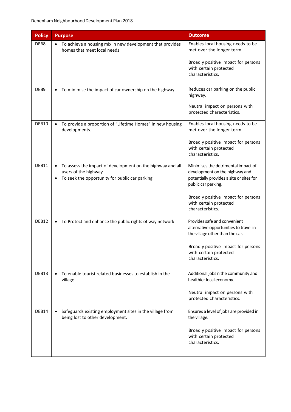| <b>Policy</b> | <b>Purpose</b>                                                                                                                                                 | <b>Outcome</b>                                                                                                                           |
|---------------|----------------------------------------------------------------------------------------------------------------------------------------------------------------|------------------------------------------------------------------------------------------------------------------------------------------|
| DEB8          | To achieve a housing mix in new development that provides<br>homes that meet local needs                                                                       | Enables local housing needs to be<br>met over the longer term.                                                                           |
|               |                                                                                                                                                                | Broadly positive impact for persons<br>with certain protected<br>characteristics.                                                        |
| DEB9          | To minimise the impact of car ownership on the highway                                                                                                         | Reduces car parking on the public<br>highway.                                                                                            |
|               |                                                                                                                                                                | Neutral impact on persons with<br>protected characteristics.                                                                             |
| DEB10         | To provide a proportion of "Lifetime Homes" in new housing<br>developments.                                                                                    | Enables local housing needs to be<br>met over the longer term.                                                                           |
|               |                                                                                                                                                                | Broadly positive impact for persons<br>with certain protected<br>characteristics.                                                        |
| DEB11         | To assess the impact of development on the highway and all<br>$\bullet$<br>users of the highway<br>To seek the opportunity for public car parking<br>$\bullet$ | Minimises the detrimental impact of<br>development on the highway and<br>potentially provides a site or sites for<br>public car parking. |
|               |                                                                                                                                                                | Broadly positive impact for persons<br>with certain protected<br>characteristics.                                                        |
| DEB12         | To Protect and enhance the public rights of way network                                                                                                        | Provides safe and convenient<br>alternative opportunities to travel in<br>the village other than the car.                                |
|               |                                                                                                                                                                | Broadly positive impact for persons<br>with certain protected<br>characteristics.                                                        |
| DEB13         | To enable tourist related businesses to establish in the<br>village.                                                                                           | Additional jobs n the community and<br>healthier local economy.                                                                          |
|               |                                                                                                                                                                | Neutral impact on persons with<br>protected characteristics.                                                                             |
| DEB14         | Safeguards existing employment sites in the village from<br>$\bullet$<br>being lost to other development.                                                      | Ensures a level of jobs are provided in<br>the village.                                                                                  |
|               |                                                                                                                                                                | Broadly positive impact for persons<br>with certain protected<br>characteristics.                                                        |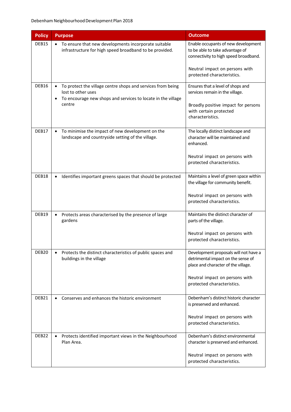| <b>Policy</b>     | <b>Purpose</b>                                                                                                                                              | <b>Outcome</b>                                                                                                                                                                     |
|-------------------|-------------------------------------------------------------------------------------------------------------------------------------------------------------|------------------------------------------------------------------------------------------------------------------------------------------------------------------------------------|
| DEB15             | • To ensure that new developments incorporate suitable<br>infrastructure for high speed broadband to be provided.                                           | Enable occupants of new development<br>to be able to take advantage of<br>connectivity to high speed broadband.                                                                    |
|                   |                                                                                                                                                             | Neutral impact on persons with<br>protected characteristics.                                                                                                                       |
| DEB16             | To protect the village centre shops and services from being<br>lost to other uses<br>To encourage new shops and services to locate in the village<br>centre | Ensures that a level of shops and<br>services remain in the village.<br>Broadly positive impact for persons<br>with certain protected<br>characteristics.                          |
| DEB17             | To minimise the impact of new development on the<br>landscape and countryside setting of the village.                                                       | The locally distinct landscape and<br>character will be maintained and<br>enhanced.<br>Neutral impact on persons with<br>protected characteristics.                                |
| DEB18             | Identifies important greens spaces that should be protected                                                                                                 | Maintains a level of green space within<br>the village for community benefit.<br>Neutral impact on persons with<br>protected characteristics.                                      |
| DEB19             | Protects areas characterised by the presence of large<br>gardens                                                                                            | Maintains the distinct character of<br>parts of the village.<br>Neutral impact on persons with<br>protected characteristics.                                                       |
| DEB <sub>20</sub> | Protects the distinct characteristics of public spaces and<br>buildings in the village                                                                      | Development proposals will not have a<br>detrimental impact on the sense of<br>place and character of the village.<br>Neutral impact on persons with<br>protected characteristics. |
| DEB21             | Conserves and enhances the historic environment<br>$\bullet$                                                                                                | Debenham's distinct historic character<br>is preserved and enhanced.<br>Neutral impact on persons with<br>protected characteristics.                                               |
| DEB <sub>22</sub> | Protects identified important views in the Neighbourhood<br>Plan Area.                                                                                      | Debenham's distinct environmental<br>character is preserved and enhanced.<br>Neutral impact on persons with<br>protected characteristics.                                          |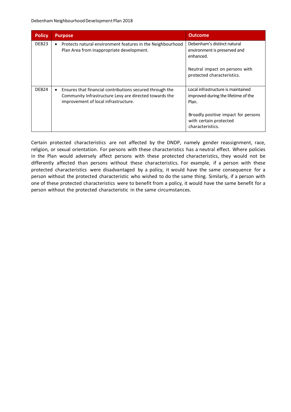| <b>Policy</b>     | <b>Purpose</b>                                                                                                                                             | <b>Outcome</b>                                                                                                                                                          |
|-------------------|------------------------------------------------------------------------------------------------------------------------------------------------------------|-------------------------------------------------------------------------------------------------------------------------------------------------------------------------|
| DEB <sub>23</sub> | Protects natural environment features in the Neighbourhood<br>$\bullet$<br>Plan Area from inappropriate development.                                       | Debenham's distinct natural<br>environment is preserved and<br>enhanced.<br>Neutral impact on persons with<br>protected characteristics.                                |
| DEB <sub>24</sub> | Ensures that financial contributions secured through the<br>Community Infrastructure Levy are directed towards the<br>improvement of local infrastructure. | Local infrastructure is maintained<br>improved during the lifetime of the<br>Plan.<br>Broadly positive impact for persons<br>with certain protected<br>characteristics. |

Certain protected characteristics are not affected by the DNDP, namely gender reassignment, race, religion, or sexual orientation. For persons with these characteristics has a neutral effect. Where policies in the Plan would adversely affect persons with these protected characteristics, they would not be differently affected than persons without these characteristics. For example, if a person with these protected characteristics were disadvantaged by a policy, it would have the same consequence for a person without the protected characteristic who wished to do the same thing. Similarly, if a person with one of these protected characteristics were to benefit from a policy, it would have the same benefit for a person without the protected characteristic in the same circumstances.